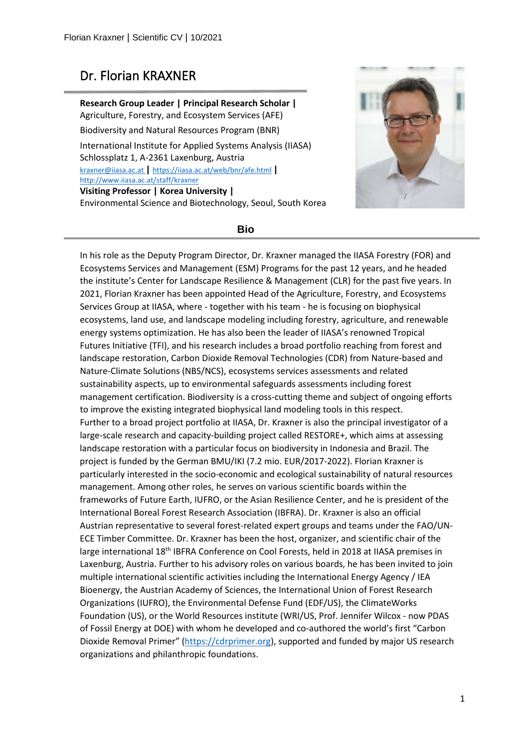# Dr. Florian KRAXNER

**Research Group Leader | Principal Research Scholar |** Agriculture, Forestry, and Ecosystem Services (AFE) Biodiversity and Natural Resources Program (BNR) International Institute for Applied Systems Analysis (IIASA) Schlossplatz 1, A-2361 Laxenburg, Austria [kraxner@iiasa.ac.at](mailto:kraxner@iiasa.ac.at) **|** https://iiasa.ac.at/web/bnr/afe.html **|** <http://www.iiasa.ac.at/staff/kraxner> **Visiting Professor | Korea University |** Environmental Science and Biotechnology, Seoul, South Korea



Ĩ

#### **Bio**

In his role as the Deputy Program Director, Dr. Kraxner managed the IIASA Forestry (FOR) and Ecosystems Services and Management (ESM) Programs for the past 12 years, and he headed the institute's Center for Landscape Resilience & Management (CLR) for the past five years. In 2021, Florian Kraxner has been appointed Head of the Agriculture, Forestry, and Ecosystems Services Group at IIASA, where - together with his team - he is focusing on biophysical ecosystems, land use, and landscape modeling including forestry, agriculture, and renewable energy systems optimization. He has also been the leader of IIASA's renowned Tropical Futures Initiative (TFI), and his research includes a broad portfolio reaching from forest and landscape restoration, Carbon Dioxide Removal Technologies (CDR) from Nature-based and Nature-Climate Solutions (NBS/NCS), ecosystems services assessments and related sustainability aspects, up to environmental safeguards assessments including forest management certification. Biodiversity is a cross-cutting theme and subject of ongoing efforts to improve the existing integrated biophysical land modeling tools in this respect. Further to a broad project portfolio at IIASA, Dr. Kraxner is also the principal investigator of a large-scale research and capacity-building project called RESTORE+, which aims at assessing landscape restoration with a particular focus on biodiversity in Indonesia and Brazil. The project is funded by the German BMU/IKI (7.2 mio. EUR/2017-2022). Florian Kraxner is particularly interested in the socio-economic and ecological sustainability of natural resources management. Among other roles, he serves on various scientific boards within the frameworks of Future Earth, IUFRO, or the Asian Resilience Center, and he is president of the International Boreal Forest Research Association (IBFRA). Dr. Kraxner is also an official Austrian representative to several forest-related expert groups and teams under the FAO/UN-ECE Timber Committee. Dr. Kraxner has been the host, organizer, and scientific chair of the large international 18<sup>th</sup> IBFRA Conference on Cool Forests, held in 2018 at IIASA premises in Laxenburg, Austria. Further to his advisory roles on various boards, he has been invited to join multiple international scientific activities including the International Energy Agency / IEA Bioenergy, the Austrian Academy of Sciences, the International Union of Forest Research Organizations (IUFRO), the Environmental Defense Fund (EDF/US), the ClimateWorks Foundation (US), or the World Resources institute (WRI/US, Prof. Jennifer Wilcox - now PDAS of Fossil Energy at DOE) with whom he developed and co-authored the world's first "Carbon Dioxide Removal Primer" [\(https://cdrprimer.org\)](https://cdrprimer.org/), supported and funded by major US research organizations and philanthropic foundations.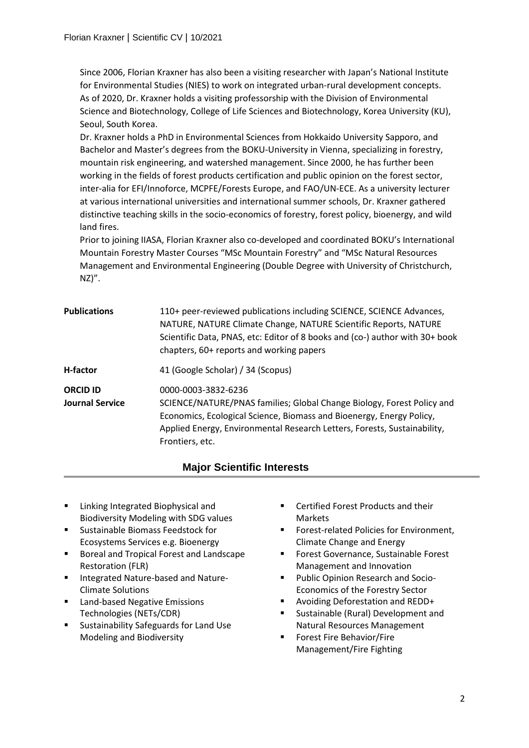Since 2006, Florian Kraxner has also been a visiting researcher with Japan's National Institute for Environmental Studies (NIES) to work on integrated urban-rural development concepts. As of 2020, Dr. Kraxner holds a visiting professorship with the Division of Environmental Science and Biotechnology, College of Life Sciences and Biotechnology, Korea University (KU), Seoul, South Korea.

Dr. Kraxner holds a PhD in Environmental Sciences from Hokkaido University Sapporo, and Bachelor and Master's degrees from the BOKU-University in Vienna, specializing in forestry, mountain risk engineering, and watershed management. Since 2000, he has further been working in the fields of forest products certification and public opinion on the forest sector, inter-alia for EFI/Innoforce, MCPFE/Forests Europe, and FAO/UN-ECE. As a university lecturer at various international universities and international summer schools, Dr. Kraxner gathered distinctive teaching skills in the socio-economics of forestry, forest policy, bioenergy, and wild land fires.

Prior to joining IIASA, Florian Kraxner also co-developed and coordinated BOKU's International Mountain Forestry Master Courses "MSc Mountain Forestry" and "MSc Natural Resources Management and Environmental Engineering (Double Degree with University of Christchurch,  $NZ)''$ .

| <b>Publications</b>                       | 110+ peer-reviewed publications including SCIENCE, SCIENCE Advances,<br>NATURE, NATURE Climate Change, NATURE Scientific Reports, NATURE<br>Scientific Data, PNAS, etc: Editor of 8 books and (co-) author with 30+ book<br>chapters, 60+ reports and working papers |
|-------------------------------------------|----------------------------------------------------------------------------------------------------------------------------------------------------------------------------------------------------------------------------------------------------------------------|
| <b>H-factor</b>                           | 41 (Google Scholar) / 34 (Scopus)                                                                                                                                                                                                                                    |
| <b>ORCID ID</b><br><b>Journal Service</b> | 0000-0003-3832-6236<br>SCIENCE/NATURE/PNAS families; Global Change Biology, Forest Policy and<br>Economics, Ecological Science, Biomass and Bioenergy, Energy Policy,<br>Applied Energy, Environmental Research Letters, Forests, Sustainability,<br>Frontiers, etc. |

## **Major Scientific Interests**

- **E** Linking Integrated Biophysical and Biodiversity Modeling with SDG values
- **EXEC** Sustainable Biomass Feedstock for Ecosystems Services e.g. Bioenergy
- Boreal and Tropical Forest and Landscape Restoration (FLR)
- Integrated Nature-based and Nature-Climate Solutions
- **EXEC** Land-based Negative Emissions Technologies (NETs/CDR)
- Sustainability Safeguards for Land Use Modeling and Biodiversity
- Certified Forest Products and their Markets
- Forest-related Policies for Environment, Climate Change and Energy

Ĩ

- Forest Governance, Sustainable Forest Management and Innovation
- **Public Opinion Research and Socio-**Economics of the Forestry Sector
- Avoiding Deforestation and REDD+
- Sustainable (Rural) Development and Natural Resources Management
- Forest Fire Behavior/Fire Management/Fire Fighting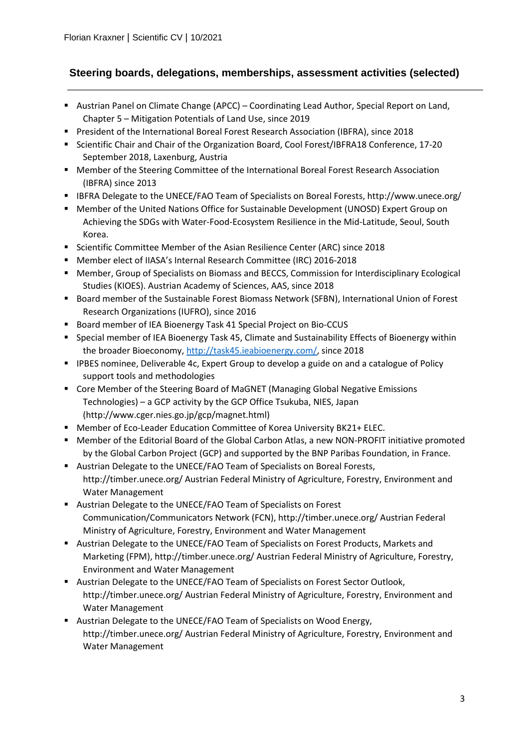## **Steering boards, delegations, memberships, assessment activities (selected)**

- **Austrian Panel on Climate Change (APCC) Coordinating Lead Author, Special Report on Land,** Chapter 5 – Mitigation Potentials of Land Use, since 2019
- President of the International Boreal Forest Research Association (IBFRA), since 2018
- **Scientific Chair and Chair of the Organization Board, Cool Forest/IBFRA18 Conference, 17-20** September 2018, Laxenburg, Austria
- **Member of the Steering Committee of the International Boreal Forest Research Association** (IBFRA) since 2013
- **IBFRA Delegate to the UNECE/FAO Team of Specialists on Boreal Forests, http://www.unece.org/**
- Member of the United Nations Office for Sustainable Development (UNOSD) Expert Group on Achieving the SDGs with Water-Food-Ecosystem Resilience in the Mid-Latitude, Seoul, South Korea.
- Scientific Committee Member of the Asian Resilience Center (ARC) since 2018
- Member elect of IIASA's Internal Research Committee (IRC) 2016-2018
- Member, Group of Specialists on Biomass and BECCS, Commission for Interdisciplinary Ecological Studies (KIOES). Austrian Academy of Sciences, AAS, since 2018
- **Board member of the Sustainable Forest Biomass Network (SFBN), International Union of Forest** Research Organizations (IUFRO), since 2016
- Board member of IEA Bioenergy Task 41 Special Project on Bio-CCUS
- **Special member of IEA Bioenergy Task 45, Climate and Sustainability Effects of Bioenergy within** the broader Bioeconomy, [http://task45.ieabioenergy.com/,](http://task45.ieabioenergy.com/) since 2018
- **IPBES nominee, Deliverable 4c, Expert Group to develop a guide on and a catalogue of Policy** support tools and methodologies
- Core Member of the Steering Board of MaGNET (Managing Global Negative Emissions Technologies) – a GCP activity by the GCP Office Tsukuba, NIES, Japan (http://www.cger.nies.go.jp/gcp/magnet.html)
- Member of Eco-Leader Education Committee of Korea University BK21+ ELEC.
- Member of the Editorial Board of the Global Carbon Atlas, a new NON-PROFIT initiative promoted by the Global Carbon Project (GCP) and supported by the BNP Paribas Foundation, in France.
- Austrian Delegate to the UNECE/FAO Team of Specialists on Boreal Forests, http://timber.unece.org/ Austrian Federal Ministry of Agriculture, Forestry, Environment and Water Management
- Austrian Delegate to the UNECE/FAO Team of Specialists on Forest Communication/Communicators Network (FCN), http://timber.unece.org/ Austrian Federal Ministry of Agriculture, Forestry, Environment and Water Management
- **Austrian Delegate to the UNECE/FAO Team of Specialists on Forest Products, Markets and** Marketing (FPM), http://timber.unece.org/ Austrian Federal Ministry of Agriculture, Forestry, Environment and Water Management
- **Austrian Delegate to the UNECE/FAO Team of Specialists on Forest Sector Outlook,** http://timber.unece.org/ Austrian Federal Ministry of Agriculture, Forestry, Environment and Water Management
- Austrian Delegate to the UNECE/FAO Team of Specialists on Wood Energy, http://timber.unece.org/ Austrian Federal Ministry of Agriculture, Forestry, Environment and Water Management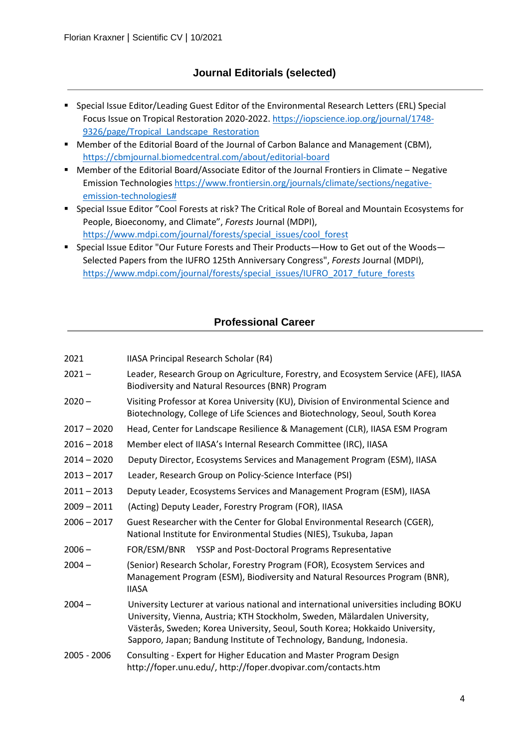## **Journal Editorials (selected)**

- **Special Issue Editor/Leading Guest Editor of the Environmental Research Letters (ERL) Special** Focus Issue on Tropical Restoration 2020-2022. [https://iopscience.iop.org/journal/1748-](https://iopscience.iop.org/journal/1748-9326/page/Tropical_Landscape_Restoration) 9326/page/Tropical Landscape Restoration
- **Member of the Editorial Board of the Journal of Carbon Balance and Management (CBM),** <https://cbmjournal.biomedcentral.com/about/editorial-board>
- Member of the Editorial Board/Associate Editor of the Journal Frontiers in Climate Negative Emission Technologie[s https://www.frontiersin.org/journals/climate/sections/negative](https://www.frontiersin.org/journals/climate/sections/negative-emission-technologies)[emission-technologies#](https://www.frontiersin.org/journals/climate/sections/negative-emission-technologies)
- Special Issue Editor "Cool Forests at risk? The Critical Role of Boreal and Mountain Ecosystems for People, Bioeconomy, and Climate", *Forests* Journal (MDPI), [https://www.mdpi.com/journal/forests/special\\_issues/cool\\_forest](https://www.mdpi.com/journal/forests/special_issues/cool_forest)
- Special Issue Editor "Our Future Forests and Their Products—How to Get out of the Woods— Selected Papers from the IUFRO 125th Anniversary Congress", *Forests* Journal (MDPI), [https://www.mdpi.com/journal/forests/special\\_issues/IUFRO\\_2017\\_future\\_forests](https://www.mdpi.com/journal/forests/special_issues/IUFRO_2017_future_forests)

## **Professional Career**

| 2021 | IIASA Principal Research Scholar (R4) |  |  |
|------|---------------------------------------|--|--|
|      |                                       |  |  |

- 2021 Leader, Research Group on Agriculture, Forestry, and Ecosystem Service (AFE), IIASA Biodiversity and Natural Resources (BNR) Program
- 2020 Visiting Professor at Korea University (KU), Division of Environmental Science and Biotechnology, College of Life Sciences and Biotechnology, Seoul, South Korea
- 2017 2020 Head, Center for Landscape Resilience & Management (CLR), IIASA ESM Program
- 2016 2018 Member elect of IIASA's Internal Research Committee (IRC), IIASA
- 2014 2020 Deputy Director, Ecosystems Services and Management Program (ESM), IIASA
- 2013 2017 Leader, Research Group on Policy-Science Interface (PSI)
- 2011 2013 Deputy Leader, Ecosystems Services and Management Program (ESM), IIASA
- 2009 2011 (Acting) Deputy Leader, Forestry Program (FOR), IIASA
- 2006 2017 Guest Researcher with the Center for Global Environmental Research (CGER), National Institute for Environmental Studies (NIES), Tsukuba, Japan
- 2006 FOR/ESM/BNR YSSP and Post-Doctoral Programs Representative
- 2004 (Senior) Research Scholar, Forestry Program (FOR), Ecosystem Services and Management Program (ESM), Biodiversity and Natural Resources Program (BNR), IIASA
- 2004 University Lecturer at various national and international universities including BOKU University, Vienna, Austria; KTH Stockholm, Sweden, Mälardalen University, Västerås, Sweden; Korea University, Seoul, South Korea; Hokkaido University, Sapporo, Japan; Bandung Institute of Technology, Bandung, Indonesia.
- 2005 2006 Consulting Expert for Higher Education and Master Program Design http://foper.unu.edu/, http://foper.dvopivar.com/contacts.htm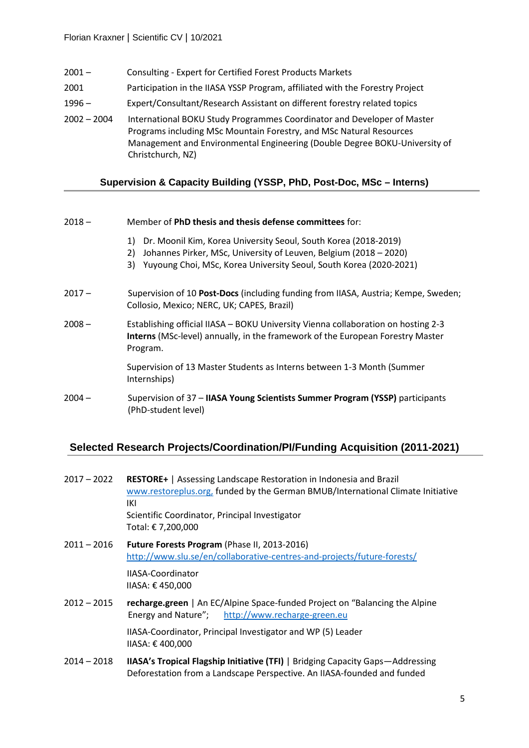- 2001 Consulting Expert for Certified Forest Products Markets
- 2001 Participation in the IIASA YSSP Program, affiliated with the Forestry Project
- 1996 Expert/Consultant/Research Assistant on different forestry related topics
- 2002 2004 International BOKU Study Programmes Coordinator and Developer of Master Programs including MSc Mountain Forestry, and MSc Natural Resources Management and Environmental Engineering (Double Degree BOKU-University of Christchurch, NZ)

## **Supervision & Capacity Building (YSSP, PhD, Post-Doc, MSc – Interns)**

| $2018 -$ | Member of PhD thesis and thesis defense committees for: |
|----------|---------------------------------------------------------|
|----------|---------------------------------------------------------|

- 1) Dr. Moonil Kim, Korea University Seoul, South Korea (2018-2019)
- 2) Johannes Pirker, MSc, University of Leuven, Belgium (2018 2020)
- 3) Yuyoung Choi, MSc, Korea University Seoul, South Korea (2020-2021)
- 2017 Supervision of 10 **Post-Docs** (including funding from IIASA, Austria; Kempe, Sweden; Collosio, Mexico; NERC, UK; CAPES, Brazil)
- 2008 Establishing official IIASA BOKU University Vienna collaboration on hosting 2-3 **Interns** (MSc-level) annually, in the framework of the European Forestry Master Program.

Supervision of 13 Master Students as Interns between 1-3 Month (Summer Internships)

2004 – Supervision of 37 – **IIASA Young Scientists Summer Program (YSSP)** participants (PhD-student level)

## **Selected Research Projects/Coordination/PI/Funding Acquisition (2011-2021)**

| $2017 - 2022$ | <b>RESTORE+</b>   Assessing Landscape Restoration in Indonesia and Brazil<br>www.restoreplus.org, funded by the German BMUB/International Climate Initiative<br>IKI<br>Scientific Coordinator, Principal Investigator<br>Total: € 7,200,000 |
|---------------|---------------------------------------------------------------------------------------------------------------------------------------------------------------------------------------------------------------------------------------------|
| $2011 - 2016$ | Future Forests Program (Phase II, 2013-2016)<br>http://www.slu.se/en/collaborative-centres-and-projects/future-forests/                                                                                                                     |
|               | IIASA-Coordinator<br>IIASA: €450,000                                                                                                                                                                                                        |
| $2012 - 2015$ | recharge.green   An EC/Alpine Space-funded Project on "Balancing the Alpine"<br>Energy and Nature"; http://www.recharge-green.eu                                                                                                            |
|               | IIASA-Coordinator, Principal Investigator and WP (5) Leader<br>IIASA: €400,000                                                                                                                                                              |
| $2014 - 2018$ | <b>IIASA's Tropical Flagship Initiative (TFI)</b>   Bridging Capacity Gaps-Addressing                                                                                                                                                       |

Deforestation from a Landscape Perspective. An IIASA-founded and funded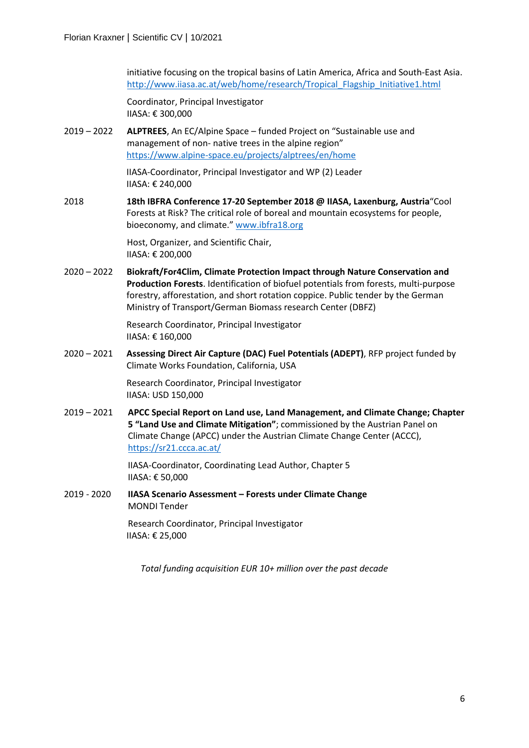initiative focusing on the tropical basins of Latin America, Africa and South-East Asia. [http://www.iiasa.ac.at/web/home/research/Tropical\\_Flagship\\_Initiative1.html](http://www.iiasa.ac.at/web/home/research/Tropical_Flagship_Initiative1.html)

Coordinator, Principal Investigator IIASA: € 300,000

2019 – 2022 **ALPTREES**, An EC/Alpine Space – funded Project on "Sustainable use and management of non- native trees in the alpine region" <https://www.alpine-space.eu/projects/alptrees/en/home>

> IIASA-Coordinator, Principal Investigator and WP (2) Leader IIASA: € 240,000

2018 **18th IBFRA Conference 17-20 September 2018 @ IIASA, Laxenburg, Austria**"Cool Forests at Risk? The critical role of boreal and mountain ecosystems for people, bioeconomy, and climate." [www.ibfra18.org](http://www.ibfra18.org/)

> Host, Organizer, and Scientific Chair, IIASA: € 200,000

2020 – 2022 **Biokraft/For4Clim, Climate Protection Impact through Nature Conservation and Production Forests**. Identification of biofuel potentials from forests, multi-purpose forestry, afforestation, and short rotation coppice. Public tender by the German Ministry of Transport/German Biomass research Center (DBFZ)

> Research Coordinator, Principal Investigator IIASA: € 160,000

2020 – 2021 **Assessing Direct Air Capture (DAC) Fuel Potentials (ADEPT)**, RFP project funded by Climate Works Foundation, California, USA

> Research Coordinator, Principal Investigator IIASA: USD 150,000

2019 – 2021 **APCC Special Report on Land use, Land Management, and Climate Change; Chapter 5 "Land Use and Climate Mitigation"**; commissioned by the Austrian Panel on Climate Change (APCC) under the Austrian Climate Change Center (ACCC), <https://sr21.ccca.ac.at/>

> IIASA-Coordinator, Coordinating Lead Author, Chapter 5 IIASA: € 50,000

2019 - 2020 **IIASA Scenario Assessment – Forests under Climate Change** MONDI Tender

> Research Coordinator, Principal Investigator IIASA: € 25,000

*Total funding acquisition EUR 10+ million over the past decade*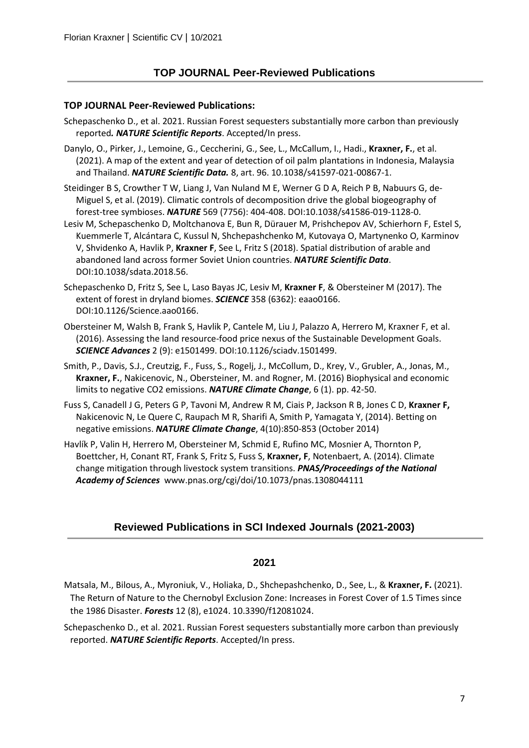## **TOP JOURNAL Peer-Reviewed Publications**

#### **TOP JOURNAL Peer-Reviewed Publications:**

- Schepaschenko D., et al. 2021. Russian Forest sequesters substantially more carbon than previously reported*. NATURE Scientific Reports*. Accepted/In press.
- Danylo, O., Pirker, J., Lemoine, G., Ceccherini, G., See, L., McCallum, I., Hadi., **Kraxner, F.**, et al. (2021). A map of the extent and year of detection of oil palm plantations in Indonesia, Malaysia and Thailand. *NATURE Scientific Data.* 8, art. 96. 10.1038/s41597-021-00867-1.
- Steidinger B S, Crowther T W, Liang J, Van Nuland M E, Werner G D A, Reich P B, Nabuurs G, de-Miguel S, et al. (2019). Climatic controls of decomposition drive the global biogeography of forest-tree symbioses. *NATURE* 569 (7756): 404-408. DOI:10.1038/s41586-019-1128-0.
- Lesiv M, Schepaschenko D, Moltchanova E, Bun R, Dürauer M, Prishchepov AV, Schierhorn F, Estel S, Kuemmerle T, Alcántara C, Kussul N, Shchepashchenko M, Kutovaya O, Martynenko O, Karminov V, Shvidenko A, Havlik P, **Kraxner F**, See L, Fritz S (2018). Spatial distribution of arable and abandoned land across former Soviet Union countries. *NATURE Scientific Data*. DOI:10.1038/sdata.2018.56.
- Schepaschenko D, Fritz S, See L, Laso Bayas JC, Lesiv M, **Kraxner F**, & Obersteiner M (2017). The extent of forest in dryland biomes. *SCIENCE* 358 (6362): eaao0166. DOI:10.1126/Science.aao0166.
- Obersteiner M, Walsh B, Frank S, Havlik P, Cantele M, Liu J, Palazzo A, Herrero M, Kraxner F, et al. (2016). Assessing the land resource-food price nexus of the Sustainable Development Goals. *SCIENCE Advances* 2 (9): e1501499. DOI:10.1126/sciadv.1501499.
- Smith, P., Davis, S.J., Creutzig, F., Fuss, S., Rogelj, J., McCollum, D., Krey, V., Grubler, A., Jonas, M., **Kraxner, F.**, Nakicenovic, N., Obersteiner, M. and Rogner, M. (2016) Biophysical and economic limits to negative CO2 emissions. *NATURE Climate Change*, 6 (1). pp. 42-50.
- Fuss S, Canadell J G, Peters G P, Tavoni M, Andrew R M, Ciais P, Jackson R B, Jones C D, **Kraxner F,** Nakicenovic N, Le Quere C, Raupach M R, Sharifi A, Smith P, Yamagata Y, (2014). Betting on negative emissions. *NATURE Climate Change*, 4(10):850-853 (October 2014)
- Havlík P, Valin H, Herrero M, Obersteiner M, Schmid E, Rufino MC, Mosnier A, Thornton P, Boettcher, H, Conant RT, Frank S, Fritz S, Fuss S, **Kraxner, F**, Notenbaert, A. (2014). Climate change mitigation through livestock system transitions. *PNAS/Proceedings of the National Academy of Sciences* [www.pnas.org/cgi/doi/10.1073/pnas.1308044111](http://www.pnas.org/cgi/doi/10.1073/pnas.1308044111)

## **Reviewed Publications in SCI Indexed Journals (2021-2003)**

- Matsala, M., Bilous, A., Myroniuk, V., Holiaka, D., Shchepashchenko, D., See, L., & **Kraxner, F.** (2021). The Return of Nature to the Chernobyl Exclusion Zone: Increases in Forest Cover of 1.5 Times since the 1986 Disaster. *Forests* 12 (8), e1024. 10.3390/f12081024.
- Schepaschenko D., et al. 2021. Russian Forest sequesters substantially more carbon than previously reported. *NATURE Scientific Reports*. Accepted/In press.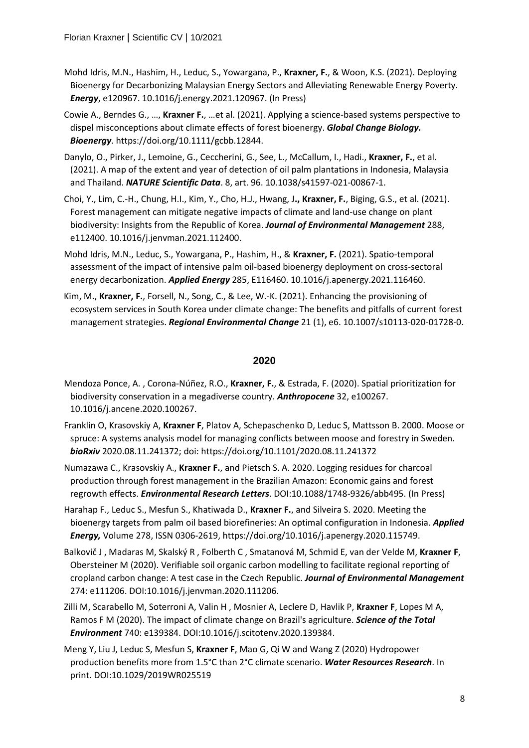- Mohd Idris, M.N., Hashim, H., Leduc, S., Yowargana, P., **Kraxner, F.**, & Woon, K.S. (2021). Deploying Bioenergy for Decarbonizing Malaysian Energy Sectors and Alleviating Renewable Energy Poverty. *Energy*, e120967. 10.1016/j.energy.2021.120967. (In Press)
- Cowie A., Berndes G., …, **Kraxner F.**, …et al. (2021). Applying a science-based systems perspective to dispel misconceptions about climate effects of forest bioenergy. *Global Change Biology. Bioenergy*. https://doi.org/10.1111/gcbb.12844.
- Danylo, O., Pirker, J., Lemoine, G., Ceccherini, G., See, L., McCallum, I., Hadi., **Kraxner, F.**, et al. (2021). A map of the extent and year of detection of oil palm plantations in Indonesia, Malaysia and Thailand. *NATURE Scientific Data*. 8, art. 96. 10.1038/s41597-021-00867-1.
- Choi, Y., Lim, C.-H., Chung, H.I., Kim, Y., Cho, H.J., Hwang, J**., Kraxner, F.**, Biging, G.S., et al. (2021). Forest management can mitigate negative impacts of climate and land-use change on plant biodiversity: Insights from the Republic of Korea. *Journal of Environmental Management* 288, e112400. 10.1016/j.jenvman.2021.112400.
- [Mohd Idris, M.N.,](http://pure.iiasa.ac.at/view/iiasa/3054.html) [Leduc, S.,](http://pure.iiasa.ac.at/view/iiasa/175.html) [Yowargana, P.,](http://pure.iiasa.ac.at/view/iiasa/341.html) Hashim, H., & **[Kraxner, F.](http://pure.iiasa.ac.at/view/iiasa/165.html)** (2021)[. Spatio-temporal](http://pure.iiasa.ac.at/id/eprint/17007/)  [assessment of the impact of intensive palm oil-based bioenergy deployment on cross-sectoral](http://pure.iiasa.ac.at/id/eprint/17007/)  [energy decarbonization.](http://pure.iiasa.ac.at/id/eprint/17007/) *Applied Energy* 285, E116460. [10.1016/j.apenergy.2021.116460.](https://doi.org/10.1016/j.apenergy.2021.116460)
- [Kim, M.,](http://pure.iiasa.ac.at/view/iiasa/156.html) **[Kraxner, F.](http://pure.iiasa.ac.at/view/iiasa/165.html)**, [Forsell, N.,](http://pure.iiasa.ac.at/view/iiasa/93.html) Song, C., & Lee, W.-K. (2021)[. Enhancing the provisioning of](http://pure.iiasa.ac.at/id/eprint/16982/)  [ecosystem services in South Korea under climate change: The benefits and pitfalls of current forest](http://pure.iiasa.ac.at/id/eprint/16982/)  [management strategies.](http://pure.iiasa.ac.at/id/eprint/16982/) *Regional Environmental Change* 21 (1), e6. [10.1007/s10113-020-01728-0.](https://doi.org/10.1007/s10113-020-01728-0)

- Mendoza Ponce, A. , Corona-Núñez, R.O., **Kraxner, F.**, & Estrada, F. (2020). Spatial prioritization for biodiversity conservation in a megadiverse country. *Anthropocene* 32, e100267. 10.1016/j.ancene.2020.100267.
- Franklin O, Krasovskiy A, **Kraxner F**, Platov A, Schepaschenko D, Leduc S, Mattsson B. 2000. Moose or spruce: A systems analysis model for managing conflicts between moose and forestry in Sweden. *bioRxiv* 2020.08.11.241372; doi: https://doi.org/10.1101/2020.08.11.241372
- Numazawa C., Krasovskiy A., **Kraxner F.**, and Pietsch S. A. 2020. Logging residues for charcoal production through forest management in the Brazilian Amazon: Economic gains and forest regrowth effects. *Environmental Research Letters*. DOI:10.1088/1748-9326/abb495. (In Press)
- Harahap F., Leduc S., Mesfun S., Khatiwada D., **Kraxner F.**, and Silveira S. 2020. Meeting the bioenergy targets from palm oil based biorefineries: An optimal configuration in Indonesia. *Applied Energy,* Volume 278, ISSN 0306-2619, https://doi.org/10.1016/j.apenergy.2020.115749.
- Balkovič J , Madaras M, Skalský R , Folberth C , Smatanová M, Schmid E, van der Velde M, **Kraxner F**, Obersteiner M (2020). Verifiable soil organic carbon modelling to facilitate regional reporting of cropland carbon change: A test case in the Czech Republic. *Journal of Environmental Management* 274: e111206. DOI:10.1016/j.jenvman.2020.111206.
- Zilli M, Scarabello M, Soterroni A, Valin H , Mosnier A, Leclere D, Havlik P, **Kraxner F**, Lopes M A, Ramos F M (2020). The impact of climate change on Brazil's agriculture. *Science of the Total Environment* 740: e139384. DOI:10.1016/j.scitotenv.2020.139384.
- Meng Y, Liu J, Leduc S, Mesfun S, **Kraxner F**, Mao G, Qi W and Wang Z (2020) Hydropower production benefits more from 1.5°C than 2°C climate scenario. *Water Resources Research*. In print. DOI:10.1029/2019WR025519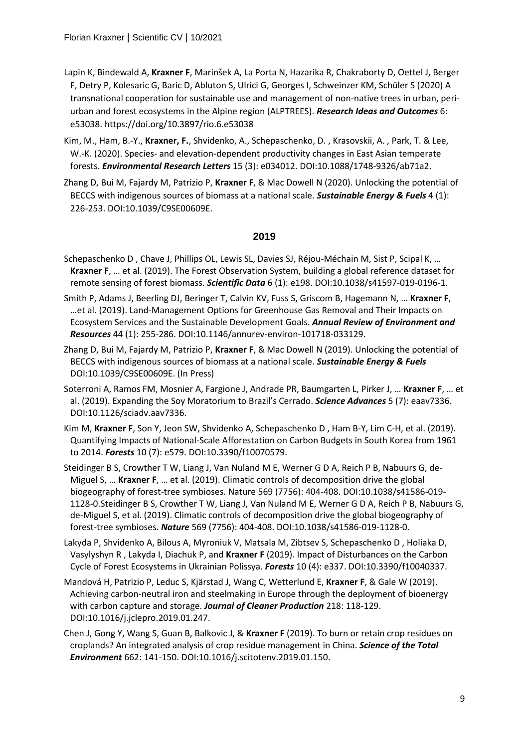- Lapin K, Bindewald A, **Kraxner F**, Marinšek A, La Porta N, Hazarika R, Chakraborty D, Oettel J, Berger F, Detry P, Kolesaric G, Baric D, Abluton S, Ulrici G, Georges I, Schweinzer KM, Schüler S (2020) A transnational cooperation for sustainable use and management of non-native trees in urban, periurban and forest ecosystems in the Alpine region (ALPTREES). *Research Ideas and Outcomes* 6: e53038. https://doi.org/10.3897/rio.6.e53038
- Kim, M., Ham, B.-Y., **Kraxner, F.**, Shvidenko, A., Schepaschenko, D. , Krasovskii, A. , Park, T. & Lee, W.-K. (2020). Species- and elevation-dependent productivity changes in East Asian temperate forests. *Environmental Research Letters* 15 (3): e034012. DOI:10.1088/1748-9326/ab71a2.
- Zhang D, Bui M, Fajardy M, Patrizio P, **Kraxner F**, & Mac Dowell N (2020). Unlocking the potential of BECCS with indigenous sources of biomass at a national scale. *Sustainable Energy & Fuels* 4 (1): 226-253. DOI:10.1039/C9SE00609E.

- Schepaschenko D , Chave J, Phillips OL, Lewis SL, Davies SJ, Réjou-Méchain M, Sist P, Scipal K, … **Kraxner F**, … et al. (2019). The Forest Observation System, building a global reference dataset for remote sensing of forest biomass. *Scientific Data* 6 (1): e198. DOI:10.1038/s41597-019-0196-1.
- Smith P, Adams J, Beerling DJ, Beringer T, Calvin KV, Fuss S, Griscom B, Hagemann N, … **Kraxner F**, …et al. (2019). Land-Management Options for Greenhouse Gas Removal and Their Impacts on Ecosystem Services and the Sustainable Development Goals. *Annual Review of Environment and Resources* 44 (1): 255-286. DOI:10.1146/annurev-environ-101718-033129.
- Zhang D, Bui M, Fajardy M, Patrizio P, **Kraxner F**, & Mac Dowell N (2019). Unlocking the potential of BECCS with indigenous sources of biomass at a national scale. *Sustainable Energy & Fuels* DOI:10.1039/C9SE00609E. (In Press)
- Soterroni A, Ramos FM, Mosnier A, Fargione J, Andrade PR, Baumgarten L, Pirker J, … **Kraxner F**, … et al. (2019). Expanding the Soy Moratorium to Brazil's Cerrado. *Science Advances* 5 (7): eaav7336. DOI:10.1126/sciadv.aav7336.
- Kim M, **Kraxner F**, Son Y, Jeon SW, Shvidenko A, Schepaschenko D , Ham B-Y, Lim C-H, et al. (2019). Quantifying Impacts of National-Scale Afforestation on Carbon Budgets in South Korea from 1961 to 2014. *Forests* 10 (7): e579. DOI:10.3390/f10070579.
- Steidinger B S, Crowther T W, Liang J, Van Nuland M E, Werner G D A, Reich P B, Nabuurs G, de-Miguel S, … **Kraxner F**, … et al. (2019). Climatic controls of decomposition drive the global biogeography of forest-tree symbioses. Nature 569 (7756): 404-408. DOI:10.1038/s41586-019- 1128-0.Steidinger B S, Crowther T W, Liang J, Van Nuland M E, Werner G D A, Reich P B, Nabuurs G, de-Miguel S, et al. (2019). Climatic controls of decomposition drive the global biogeography of forest-tree symbioses. *Nature* 569 (7756): 404-408. DOI:10.1038/s41586-019-1128-0.
- Lakyda P, Shvidenko A, Bilous A, Myroniuk V, Matsala M, Zibtsev S, Schepaschenko D , Holiaka D, Vasylyshyn R , Lakyda I, Diachuk P, and **Kraxner F** (2019). Impact of Disturbances on the Carbon Cycle of Forest Ecosystems in Ukrainian Polissya. *Forests* 10 (4): e337. DOI:10.3390/f10040337.
- Mandová H, Patrizio P, Leduc S, Kjärstad J, Wang C, Wetterlund E, **Kraxner F**, & Gale W (2019). Achieving carbon-neutral iron and steelmaking in Europe through the deployment of bioenergy with carbon capture and storage. *Journal of Cleaner Production* 218: 118-129. DOI:10.1016/j.jclepro.2019.01.247.
- Chen J, Gong Y, Wang S, Guan B, Balkovic J, & **Kraxner F** (2019). To burn or retain crop residues on croplands? An integrated analysis of crop residue management in China. *Science of the Total Environment* 662: 141-150. DOI:10.1016/j.scitotenv.2019.01.150.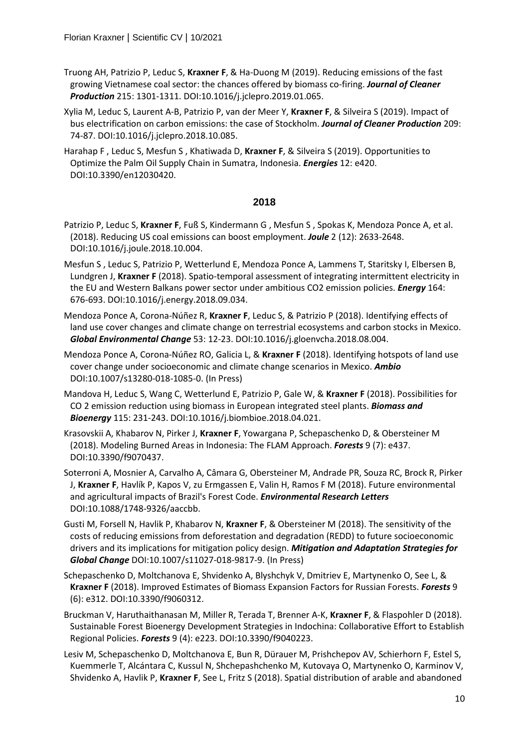- Truong AH, Patrizio P, Leduc S, **Kraxner F**, & Ha-Duong M (2019). Reducing emissions of the fast growing Vietnamese coal sector: the chances offered by biomass co-firing. *Journal of Cleaner Production* 215: 1301-1311. DOI:10.1016/j.jclepro.2019.01.065.
- Xylia M, Leduc S, Laurent A-B, Patrizio P, van der Meer Y, **Kraxner F**, & Silveira S (2019). Impact of bus electrification on carbon emissions: the case of Stockholm. *Journal of Cleaner Production* 209: 74-87. DOI:10.1016/j.jclepro.2018.10.085.
- Harahap F , Leduc S, Mesfun S , Khatiwada D, **Kraxner F**, & Silveira S (2019). Opportunities to Optimize the Palm Oil Supply Chain in Sumatra, Indonesia. *Energies* 12: e420. DOI:10.3390/en12030420.

- Patrizio P, Leduc S, **Kraxner F**, Fuß S, Kindermann G , Mesfun S , Spokas K, Mendoza Ponce A, et al. (2018). Reducing US coal emissions can boost employment. *Joule* 2 (12): 2633-2648. DOI:10.1016/j.joule.2018.10.004.
- Mesfun S , Leduc S, Patrizio P, Wetterlund E, Mendoza Ponce A, Lammens T, Staritsky I, Elbersen B, Lundgren J, **Kraxner F** (2018). Spatio-temporal assessment of integrating intermittent electricity in the EU and Western Balkans power sector under ambitious CO2 emission policies. *Energy* 164: 676-693. DOI:10.1016/j.energy.2018.09.034.
- Mendoza Ponce A, Corona-Núñez R, **Kraxner F**, Leduc S, & Patrizio P (2018). Identifying effects of land use cover changes and climate change on terrestrial ecosystems and carbon stocks in Mexico. *Global Environmental Change* 53: 12-23. DOI:10.1016/j.gloenvcha.2018.08.004.
- Mendoza Ponce A, Corona-Núñez RO, Galicia L, & **Kraxner F** (2018). Identifying hotspots of land use cover change under socioeconomic and climate change scenarios in Mexico. *Ambio* DOI:10.1007/s13280-018-1085-0. (In Press)
- Mandova H, Leduc S, Wang C, Wetterlund E, Patrizio P, Gale W, & **Kraxner F** (2018). Possibilities for CO 2 emission reduction using biomass in European integrated steel plants. *Biomass and Bioenergy* 115: 231-243. DOI:10.1016/j.biombioe.2018.04.021.
- Krasovskii A, Khabarov N, Pirker J, **Kraxner F**, Yowargana P, Schepaschenko D, & Obersteiner M (2018). Modeling Burned Areas in Indonesia: The FLAM Approach. *Forests* 9 (7): e437. DOI:10.3390/f9070437.
- Soterroni A, Mosnier A, Carvalho A, Câmara G, Obersteiner M, Andrade PR, Souza RC, Brock R, Pirker J, **Kraxner F**, Havlík P, Kapos V, zu Ermgassen E, Valin H, Ramos F M (2018). Future environmental and agricultural impacts of Brazil's Forest Code. *Environmental Research Letters* DOI:10.1088/1748-9326/aaccbb.
- Gusti M, Forsell N, Havlik P, Khabarov N, **Kraxner F**, & Obersteiner M (2018). The sensitivity of the costs of reducing emissions from deforestation and degradation (REDD) to future socioeconomic drivers and its implications for mitigation policy design. *Mitigation and Adaptation Strategies for Global Change* DOI:10.1007/s11027-018-9817-9. (In Press)
- Schepaschenko D, Moltchanova E, Shvidenko A, Blyshchyk V, Dmitriev E, Martynenko O, See L, & **Kraxner F** (2018). Improved Estimates of Biomass Expansion Factors for Russian Forests. *Forests* 9 (6): e312. DOI:10.3390/f9060312.
- Bruckman V, Haruthaithanasan M, Miller R, Terada T, Brenner A-K, **Kraxner F**, & Flaspohler D (2018). Sustainable Forest Bioenergy Development Strategies in Indochina: Collaborative Effort to Establish Regional Policies. *Forests* 9 (4): e223. DOI:10.3390/f9040223.
- Lesiv M, Schepaschenko D, Moltchanova E, Bun R, Dürauer M, Prishchepov AV, Schierhorn F, Estel S, Kuemmerle T, Alcántara C, Kussul N, Shchepashchenko M, Kutovaya O, Martynenko O, Karminov V, Shvidenko A, Havlik P, **Kraxner F**, See L, Fritz S (2018). Spatial distribution of arable and abandoned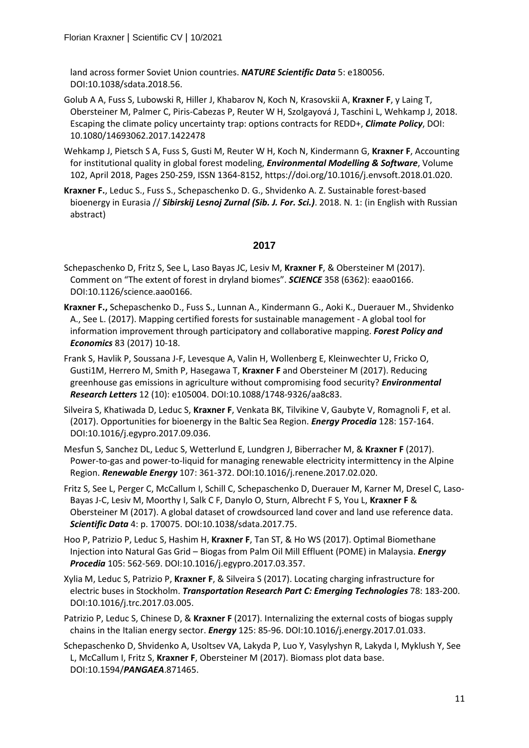land across former Soviet Union countries. *NATURE Scientific Data* 5: e180056. DOI:10.1038/sdata.2018.56.

- Golub A A, Fuss S, Lubowski R, Hiller J, Khabarov N, Koch N, Krasovskii A, **Kraxner F**, y Laing T, Obersteiner M, Palmer C, Piris-Cabezas P, Reuter W H, Szolgayová J, Taschini L, Wehkamp J, 2018. Escaping the climate policy uncertainty trap: options contracts for REDD+, *Climate Policy*, DOI: 10.1080/14693062.2017.1422478
- Wehkamp J, Pietsch S A, Fuss S, Gusti M, Reuter W H, Koch N, Kindermann G, **Kraxner F**, Accounting for institutional quality in global forest modeling, *Environmental Modelling & Software*, Volume 102, April 2018, Pages 250-259, ISSN 1364-8152, [https://doi.org/10.1016/j.envsoft.2018.01.020.](https://doi.org/10.1016/j.envsoft.2018.01.020)
- **Kraxner F.**, Leduc S., Fuss S., Schepaschenko D. G., Shvidenko A. Z. Sustainable forest-based bioenergy in Eurasia // *Sibirskij Lesnoj Zurnal (Sib. J. For. Sci.)*. 2018. N. 1: (in English with Russian abstract)

- Schepaschenko D, Fritz S, See L, Laso Bayas JC, Lesiv M, **Kraxner F**, & Obersteiner M (2017). Comment on "The extent of forest in dryland biomes". *SCIENCE* 358 (6362): eaao0166. DOI:10.1126/science.aao0166.
- **Kraxner F.,** Schepaschenko D., Fuss S., Lunnan A., Kindermann G., Aoki K., Duerauer M., Shvidenko A., See L. (2017). Mapping certified forests for sustainable management - A global tool for information improvement through participatory and collaborative mapping. *Forest Policy and Economics* 83 (2017) 10-18.
- Frank S, Havlik P, Soussana J-F, Levesque A, Valin H, Wollenberg E, Kleinwechter U, Fricko O, Gusti1M, Herrero M, Smith P, Hasegawa T, **Kraxner F** and Obersteiner M (2017). Reducing greenhouse gas emissions in agriculture without compromising food security? *Environmental Research Letters* 12 (10): e105004. DOI:10.1088/1748-9326/aa8c83.
- Silveira S, Khatiwada D, Leduc S, **Kraxner F**, Venkata BK, Tilvikine V, Gaubyte V, Romagnoli F, et al. (2017). Opportunities for bioenergy in the Baltic Sea Region. *Energy Procedia* 128: 157-164. DOI:10.1016/j.egypro.2017.09.036.
- Mesfun S, Sanchez DL, Leduc S, Wetterlund E, Lundgren J, Biberracher M, & **Kraxner F** (2017). Power-to-gas and power-to-liquid for managing renewable electricity intermittency in the Alpine Region. *Renewable Energy* 107: 361-372. DOI:10.1016/j.renene.2017.02.020.
- Fritz S, See L, Perger C, McCallum I, Schill C, Schepaschenko D, Duerauer M, Karner M, Dresel C, Laso-Bayas J-C, Lesiv M, Moorthy I, Salk C F, Danylo O, Sturn, Albrecht F S, You L, **Kraxner F** & Obersteiner M (2017). A global dataset of crowdsourced land cover and land use reference data. *Scientific Data* 4: p. 170075. DOI:10.1038/sdata.2017.75.
- Hoo P, Patrizio P, Leduc S, Hashim H, **Kraxner F**, Tan ST, & Ho WS (2017). Optimal Biomethane Injection into Natural Gas Grid – Biogas from Palm Oil Mill Effluent (POME) in Malaysia. *Energy Procedia* 105: 562-569. DOI:10.1016/j.egypro.2017.03.357.
- Xylia M, Leduc S, Patrizio P, **Kraxner F**, & Silveira S (2017). Locating charging infrastructure for electric buses in Stockholm. *Transportation Research Part C: Emerging Technologies* 78: 183-200. DOI:10.1016/j.trc.2017.03.005.
- Patrizio P, Leduc S, Chinese D, & **Kraxner F** (2017). Internalizing the external costs of biogas supply chains in the Italian energy sector. *Energy* 125: 85-96. DOI:10.1016/j.energy.2017.01.033.
- Schepaschenko D, Shvidenko A, Usoltsev VA, Lakyda P, Luo Y, Vasylyshyn R, Lakyda I, Myklush Y, See L, McCallum I, Fritz S, **Kraxner F**, Obersteiner M (2017). Biomass plot data base. DOI:10.1594/*PANGAEA*.871465.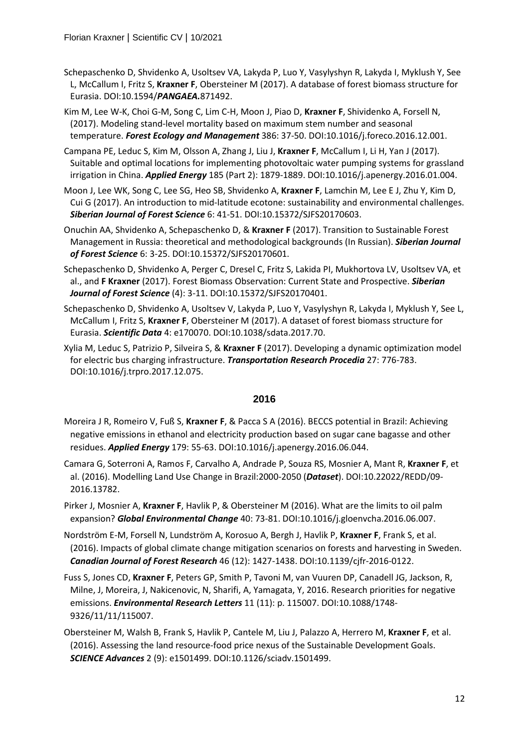- Schepaschenko D, Shvidenko A, Usoltsev VA, Lakyda P, Luo Y, Vasylyshyn R, Lakyda I, Myklush Y, See L, McCallum I, Fritz S, **Kraxner F**, Obersteiner M (2017). A database of forest biomass structure for Eurasia. DOI:10.1594/*PANGAEA.*871492.
- Kim M, Lee W-K, Choi G-M, Song C, Lim C-H, Moon J, Piao D, **Kraxner F**, Shividenko A, Forsell N, (2017). Modeling stand-level mortality based on maximum stem number and seasonal temperature. *Forest Ecology and Management* 386: 37-50. DOI:10.1016/j.foreco.2016.12.001.
- Campana PE, Leduc S, Kim M, Olsson A, Zhang J, Liu J, **Kraxner F**, McCallum I, Li H, Yan J (2017). Suitable and optimal locations for implementing photovoltaic water pumping systems for grassland irrigation in China. *Applied Energy* 185 (Part 2): 1879-1889. DOI:10.1016/j.apenergy.2016.01.004.
- Moon J, Lee WK, Song C, Lee SG, Heo SB, Shvidenko A, **Kraxner F**, Lamchin M, Lee E J, Zhu Y, Kim D, Cui G (2017). An introduction to mid-latitude ecotone: sustainability and environmental challenges. *Siberian Journal of Forest Science* 6: 41-51. DOI:10.15372/SJFS20170603.
- Onuchin AA, Shvidenko A, Schepaschenko D, & **Kraxner F** (2017). Transition to Sustainable Forest Management in Russia: theoretical and methodological backgrounds (In Russian). *Siberian Journal of Forest Science* 6: 3-25. DOI:10.15372/SJFS20170601.
- Schepaschenko D, Shvidenko A, Perger C, Dresel C, Fritz S, Lakida PI, Mukhortova LV, Usoltsev VA, et al., and **F Kraxner** (2017). Forest Biomass Observation: Current State and Prospective. *Siberian Journal of Forest Science* (4): 3-11. DOI:10.15372/SJFS20170401.
- Schepaschenko D, Shvidenko A, Usoltsev V, Lakyda P, Luo Y, Vasylyshyn R, Lakyda I, Myklush Y, See L, McCallum I, Fritz S, **Kraxner F**, Obersteiner M (2017). A dataset of forest biomass structure for Eurasia. *Scientific Data* 4: e170070. DOI:10.1038/sdata.2017.70.
- Xylia M, Leduc S, Patrizio P, Silveira S, & **Kraxner F** (2017). Developing a dynamic optimization model for electric bus charging infrastructure. *Transportation Research Procedia* 27: 776-783. DOI:10.1016/j.trpro.2017.12.075.

- Moreira J R, Romeiro V, Fuß S, **Kraxner F**, & Pacca S A (2016). BECCS potential in Brazil: Achieving negative emissions in ethanol and electricity production based on sugar cane bagasse and other residues. *Applied Energy* 179: 55-63. DOI:10.1016/j.apenergy.2016.06.044.
- Camara G, Soterroni A, Ramos F, Carvalho A, Andrade P, Souza RS, Mosnier A, Mant R, **Kraxner F**, et al. (2016). Modelling Land Use Change in Brazil:2000-2050 (*Dataset*). DOI:10.22022/REDD/09- 2016.13782.
- Pirker J, Mosnier A, **Kraxner F**, Havlik P, & Obersteiner M (2016). What are the limits to oil palm expansion? *Global Environmental Change* 40: 73-81. DOI:10.1016/j.gloenvcha.2016.06.007.
- Nordström E-M, Forsell N, Lundström A, Korosuo A, Bergh J, Havlik P, **Kraxner F**, Frank S, et al. (2016). Impacts of global climate change mitigation scenarios on forests and harvesting in Sweden. *Canadian Journal of Forest Research* 46 (12): 1427-1438. DOI:10.1139/cjfr-2016-0122.
- Fuss S, Jones CD, **Kraxner F**, Peters GP, Smith P, Tavoni M, van Vuuren DP, Canadell JG, Jackson, R, Milne, J, Moreira, J, Nakicenovic, N, Sharifi, A, Yamagata, Y, 2016. Research priorities for negative emissions. *Environmental Research Letters* 11 (11): p. 115007. DOI:10.1088/1748- 9326/11/11/115007.
- Obersteiner M, Walsh B, Frank S, Havlik P, Cantele M, Liu J, Palazzo A, Herrero M, **Kraxner F**, et al. (2016). Assessing the land resource-food price nexus of the Sustainable Development Goals. *SCIENCE Advances* 2 (9): e1501499. DOI:10.1126/sciadv.1501499.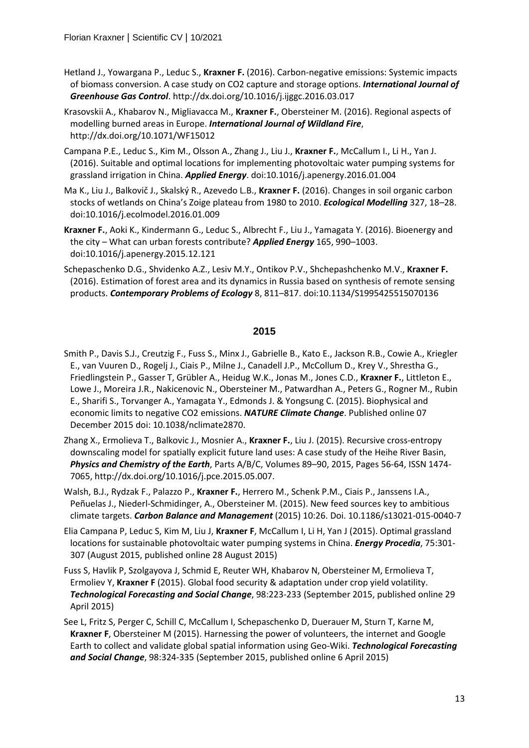- Hetland J., Yowargana P., Leduc S., **Kraxner F.** (2016). Carbon-negative emissions: Systemic impacts of biomass conversion. A case study on CO2 capture and storage options. *International Journal of Greenhouse Gas Control*. http://dx.doi.org/10.1016/j.ijggc.2016.03.017
- Krasovskii A., Khabarov N., Migliavacca M., **Kraxner F.**, Obersteiner M. (2016). Regional aspects of modelling burned areas in Europe. *International Journal of Wildland Fire*, http://dx.doi.org/10.1071/WF15012
- Campana P.E., Leduc S., Kim M., Olsson A., Zhang J., Liu J., **Kraxner F.**, McCallum I., Li H., Yan J. (2016). Suitable and optimal locations for implementing photovoltaic water pumping systems for grassland irrigation in China. *Applied Energy*. doi:10.1016/j.apenergy.2016.01.004
- Ma K., Liu J., Balkovič J., Skalský R., Azevedo L.B., **Kraxner F.** (2016). Changes in soil organic carbon stocks of wetlands on China's Zoige plateau from 1980 to 2010. *Ecological Modelling* 327, 18–28. doi:10.1016/j.ecolmodel.2016.01.009
- **Kraxner F.**, Aoki K., Kindermann G., Leduc S., Albrecht F., Liu J., Yamagata Y. (2016). Bioenergy and the city – What can urban forests contribute? *Applied Energy* 165, 990–1003. doi:10.1016/j.apenergy.2015.12.121
- Schepaschenko D.G., Shvidenko A.Z., Lesiv M.Y., Ontikov P.V., Shchepashchenko M.V., **Kraxner F.**  (2016). Estimation of forest area and its dynamics in Russia based on synthesis of remote sensing products. *Contemporary Problems of Ecology* 8, 811–817. doi:10.1134/S1995425515070136

- Smith P., Davis S.J., Creutzig F., Fuss S., Minx J., Gabrielle B., Kato E., Jackson R.B., Cowie A., Kriegler E., van Vuuren D., Rogelj J., Ciais P., Milne J., Canadell J.P., McCollum D., Krey V., Shrestha G., Friedlingstein P., Gasser T, Grübler A., Heidug W.K., Jonas M., Jones C.D., **Kraxner F.**, Littleton E., Lowe J., Moreira J.R., Nakicenovic N., Obersteiner M., Patwardhan A., Peters G., Rogner M., Rubin E., Sharifi S., Torvanger A., Yamagata Y., Edmonds J. & Yongsung C. (2015). Biophysical and economic limits to negative CO2 emissions. *NATURE Climate Change*. Published online 07 December 2015 doi: 10.1038/nclimate2870.
- Zhang X., Ermolieva T., Balkovic J., Mosnier A., **Kraxner F.**, Liu J. (2015). Recursive cross-entropy downscaling model for spatially explicit future land uses: A case study of the Heihe River Basin, *Physics and Chemistry of the Earth*, Parts A/B/C, Volumes 89–90, 2015, Pages 56-64, ISSN 1474- 7065, http://dx.doi.org/10.1016/j.pce.2015.05.007.
- Walsh, B.J., Rydzak F., Palazzo P., **Kraxner F.**, Herrero M., Schenk P.M., Ciais P., Janssens I.A., Peñuelas J., Niederl-Schmidinger, A., Obersteiner M. (2015). New feed sources key to ambitious climate targets. *Carbon Balance and Management* (2015) 10:26. Doi. 10.1186/s13021-015-0040-7
- Elia Campana P, Leduc S, Kim M, Liu J, **Kraxner F**, McCallum I, Li H, Yan J (2015). Optimal grassland locations for sustainable photovoltaic water pumping systems in China. *Energy Procedia*, 75:301- 307 (August 2015, published online 28 August 2015)
- Fuss S, Havlik P, Szolgayova J, Schmid E, Reuter WH, Khabarov N, Obersteiner M, Ermolieva T, Ermoliev Y, **Kraxner F** (2015). Global food security & adaptation under crop yield volatility. *Technological Forecasting and Social Change*, 98:223-233 (September 2015, published online 29 April 2015)
- See L, Fritz S, Perger C, Schill C, McCallum I, Schepaschenko D, Duerauer M, Sturn T, Karne M, **Kraxner F**, Obersteiner M (2015). Harnessing the power of volunteers, the internet and Google Earth to collect and validate global spatial information using Geo-Wiki. *Technological Forecasting and Social Change*, 98:324-335 (September 2015, published online 6 April 2015)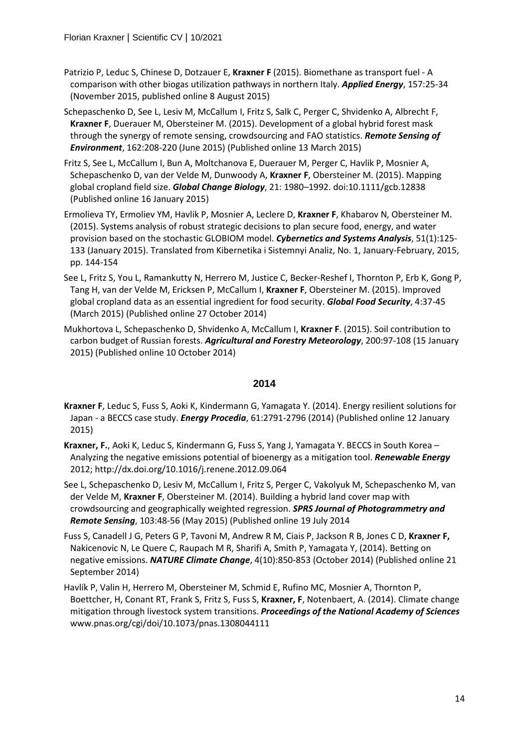- Patrizio P, Leduc S, Chinese D, Dotzauer E, **Kraxner F** (2015). Biomethane as transport fuel A comparison with other biogas utilization pathways in northern Italy. *Applied Energy*, 157:25-34 (November 2015, published online 8 August 2015)
- Schepaschenko D, See L, Lesiv M, McCallum I, Fritz S, Salk C, Perger C, Shvidenko A, Albrecht F, **Kraxner F**, Duerauer M, Obersteiner M. (2015). Development of a global hybrid forest mask through the synergy of remote sensing, crowdsourcing and FAO statistics. *Remote Sensing of Environment*, 162:208-220 (June 2015) (Published online 13 March 2015)
- Fritz S, See L, McCallum I, Bun A, Moltchanova E, Duerauer M, Perger C, Havlik P, Mosnier A, Schepaschenko D, van der Velde M, Dunwoody A, **Kraxner F**, Obersteiner M. (2015). Mapping global cropland field size. *Global Change Biology*, 21: 1980–1992. doi:10.1111/gcb.12838 (Published online 16 January 2015)
- Ermolieva TY, Ermoliev YM, Havlik P, Mosnier A, Leclere D, **Kraxner F**, Khabarov N, Obersteiner M. (2015). Systems analysis of robust strategic decisions to plan secure food, energy, and water provision based on the stochastic GLOBIOM model. *Cybernetics and Systems Analysis*, 51(1):125- 133 (January 2015). Translated from Kibernetika i Sistemnyi Analiz, No. 1, January-February, 2015, pp. 144-154
- See L, Fritz S, You L, Ramankutty N, Herrero M, Justice C, Becker-Reshef I, Thornton P, Erb K, Gong P, Tang H, van der Velde M, Ericksen P, McCallum I, **Kraxner F**, Obersteiner M. (2015). Improved global cropland data as an essential ingredient for food security. *Global Food Security*, 4:37-45 (March 2015) (Published online 27 October 2014)
- Mukhortova L, Schepaschenko D, Shvidenko A, McCallum I, **Kraxner F**. (2015). Soil contribution to carbon budget of Russian forests. *Agricultural and Forestry Meteorology*, 200:97-108 (15 January 2015) (Published online 10 October 2014)

- **Kraxner F**, Leduc S, Fuss S, Aoki K, Kindermann G, Yamagata Y. (2014). Energy resilient solutions for Japan - a BECCS case study. *Energy Procedia*, 61:2791-2796 (2014) (Published online 12 January 2015)
- **Kraxner, F.**, Aoki K, Leduc S, Kindermann G, Fuss S, Yang J, Yamagata Y. BECCS in South Korea Analyzing the negative emissions potential of bioenergy as a mitigation tool. *Renewable Energy*  2012; http://dx.doi.org/10.1016/j.renene.2012.09.064
- See L, Schepaschenko D, Lesiv M, McCallum I, Fritz S, Perger C, Vakolyuk M, Schepaschenko M, van der Velde M, **Kraxner F**, Obersteiner M. (2014). Building a hybrid land cover map with crowdsourcing and geographically weighted regression. *SPRS Journal of Photogrammetry and Remote Sensing*, 103:48-56 (May 2015) (Published online 19 July 2014
- Fuss S, Canadell J G, Peters G P, Tavoni M, Andrew R M, Ciais P, Jackson R B, Jones C D, **Kraxner F,**  Nakicenovic N, Le Quere C, Raupach M R, Sharifi A, Smith P, Yamagata Y, (2014). Betting on negative emissions. *NATURE Climate Change*, 4(10):850-853 (October 2014) (Published online 21 September 2014)
- Havlík P, Valin H, Herrero M, Obersteiner M, Schmid E, Rufino MC, Mosnier A, Thornton P, Boettcher, H, Conant RT, Frank S, Fritz S, Fuss S, **Kraxner, F**, Notenbaert, A. (2014). Climate change mitigation through livestock system transitions. *Proceedings of the National Academy of Sciences*  www.pnas.org/cgi/doi/10.1073/pnas.1308044111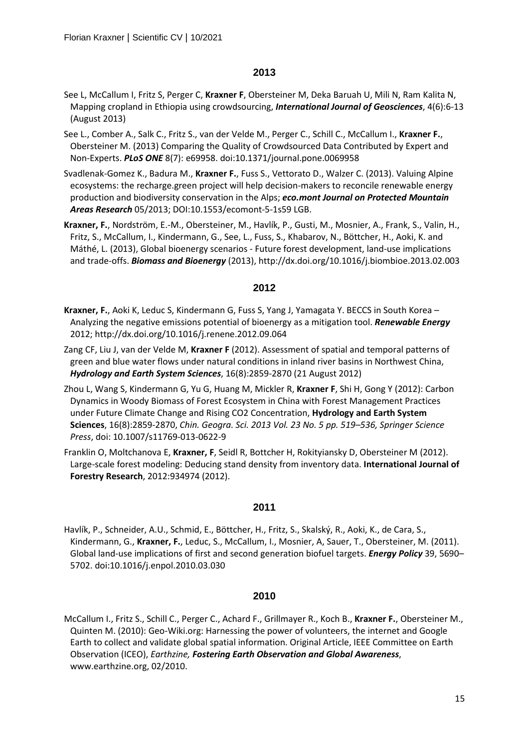- See L, McCallum I, Fritz S, Perger C, **Kraxner F**, Obersteiner M, Deka Baruah U, Mili N, Ram Kalita N, Mapping cropland in Ethiopia using crowdsourcing, *International Journal of Geosciences*, 4(6):6-13 (August 2013)
- See L., Comber A., Salk C., Fritz S., van der Velde M., Perger C., Schill C., McCallum I., **Kraxner F.**, Obersteiner M. (2013) Comparing the Quality of Crowdsourced Data Contributed by Expert and Non-Experts. *PLoS ONE* 8(7): e69958. doi:10.1371/journal.pone.0069958
- Svadlenak-Gomez K., Badura M., **Kraxner F.**, Fuss S., Vettorato D., Walzer C. (2013). Valuing Alpine ecosystems: the recharge.green project will help decision-makers to reconcile renewable energy production and biodiversity conservation in the Alps; *eco.mont Journal on Protected Mountain Areas Research* 05/2013; DOI:10.1553/ecomont-5-1s59 LGB.
- **Kraxner, F.**, Nordström, E.-M., Obersteiner, M., Havlík, P., Gusti, M., Mosnier, A., Frank, S., Valin, H., Fritz, S., McCallum, I., Kindermann, G., See, L., Fuss, S., Khabarov, N., Böttcher, H., Aoki, K. and Máthé, L. (2013), Global bioenergy scenarios - Future forest development, land-use implications and trade-offs. *Biomass and Bioenergy* (2013), http://dx.doi.org/10.1016/j.biombioe.2013.02.003

#### **2012**

- **Kraxner, F.**, Aoki K, Leduc S, Kindermann G, Fuss S, Yang J, Yamagata Y. BECCS in South Korea Analyzing the negative emissions potential of bioenergy as a mitigation tool. *Renewable Energy* 2012; http://dx.doi.org/10.1016/j.renene.2012.09.064
- Zang CF, Liu J, van der Velde M, **Kraxner F** (2012). Assessment of spatial and temporal patterns of green and blue water flows under natural conditions in inland river basins in Northwest China, *Hydrology and Earth System Sciences*, 16(8):2859-2870 (21 August 2012)
- Zhou L, Wang S, Kindermann G, Yu G, Huang M, Mickler R, **Kraxner F**, Shi H, Gong Y (2012): Carbon Dynamics in Woody Biomass of Forest Ecosystem in China with Forest Management Practices under Future Climate Change and Rising CO2 Concentration, **Hydrology and Earth System Sciences**, 16(8):2859-2870, *Chin. Geogra. Sci. 2013 Vol. 23 No. 5 pp. 519–536, Springer Science Press*, doi: 10.1007/s11769-013-0622-9
- Franklin O, Moltchanova E, **Kraxner, F**, Seidl R, Bottcher H, Rokityiansky D, Obersteiner M (2012). Large-scale forest modeling: Deducing stand density from inventory data. **International Journal of Forestry Research**, 2012:934974 (2012).

#### **2011**

Havlík, P., Schneider, A.U., Schmid, E., Böttcher, H., Fritz, S., Skalský, R., Aoki, K., de Cara, S., Kindermann, G., **Kraxner, F.**, Leduc, S., McCallum, I., Mosnier, A, Sauer, T., Obersteiner, M. (2011). Global land-use implications of first and second generation biofuel targets. *Energy Policy* 39, 5690– 5702. doi:10.1016/j.enpol.2010.03.030

## **2010**

McCallum I., Fritz S., Schill C., Perger C., Achard F., Grillmayer R., Koch B., **Kraxner F.**, Obersteiner M., Quinten M. (2010): Geo-Wiki.org: Harnessing the power of volunteers, the internet and Google Earth to collect and validate global spatial information. Original Article, IEEE Committee on Earth Observation (ICEO), *Earthzine, Fostering Earth Observation and Global Awareness*, www.earthzine.org, 02/2010.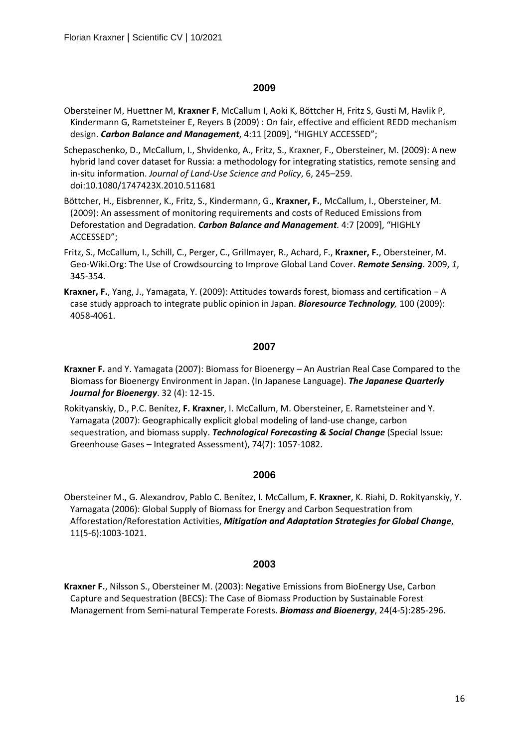- Obersteiner M, Huettner M, **Kraxner F**, McCallum I, Aoki K, Böttcher H, Fritz S, Gusti M, Havlik P, Kindermann G, Rametsteiner E, Reyers B (2009) : On fair, effective and efficient REDD mechanism design. *Carbon Balance and Management*, 4:11 [2009], "HIGHLY ACCESSED";
- Schepaschenko, D., McCallum, I., Shvidenko, A., Fritz, S., Kraxner, F., Obersteiner, M. (2009): A new hybrid land cover dataset for Russia: a methodology for integrating statistics, remote sensing and in-situ information. *Journal of Land-Use Science and Policy*, 6, 245–259. doi:10.1080/1747423X.2010.511681
- Böttcher, H., Eisbrenner, K., Fritz, S., Kindermann, G., **Kraxner, F.**, McCallum, I., Obersteiner, M. (2009): An assessment of monitoring requirements and costs of Reduced Emissions from Deforestation and Degradation. *Carbon Balance and Management.* 4:7 [2009], "HIGHLY ACCESSED";
- Fritz, S., McCallum, I., Schill, C., Perger, C., Grillmayer, R., Achard, F., **Kraxner, F.**, Obersteiner, M. Geo-Wiki.Org: The Use of Crowdsourcing to Improve Global Land Cover. *Remote Sensing.* 2009, *1*, 345-354.
- **Kraxner, F.**, Yang, J., Yamagata, Y. (2009): Attitudes towards forest, biomass and certification A case study approach to integrate public opinion in Japan. *Bioresource Technology,* 100 (2009): 4058-4061.

#### **2007**

- **Kraxner F.** and Y. Yamagata (2007): Biomass for Bioenergy An Austrian Real Case Compared to the Biomass for Bioenergy Environment in Japan. (In Japanese Language). *The Japanese Quarterly Journal for Bioenergy*. 32 (4): 12-15.
- Rokityanskiy, D., P.C. Benítez, **F. Kraxner**, I. McCallum, M. Obersteiner, E. Rametsteiner and Y. Yamagata (2007): Geographically explicit global modeling of land-use change, carbon sequestration, and biomass supply. *Technological Forecasting & Social Change* (Special Issue: Greenhouse Gases – Integrated Assessment), 74(7): 1057-1082.

#### **2006**

Obersteiner M., G. Alexandrov, Pablo C. Benítez, I. McCallum, **F. Kraxner**, K. Riahi, D. Rokityanskiy, Y. Yamagata (2006): Global Supply of Biomass for Energy and Carbon Sequestration from Afforestation/Reforestation Activities, *Mitigation and Adaptation Strategies for Global Change*, 11(5-6):1003-1021.

## **2003**

**Kraxner F.**, Nilsson S., Obersteiner M. (2003): Negative Emissions from BioEnergy Use, Carbon Capture and Sequestration (BECS): The Case of Biomass Production by Sustainable Forest Management from Semi-natural Temperate Forests. *Biomass and Bioenergy*, 24(4-5):285-296.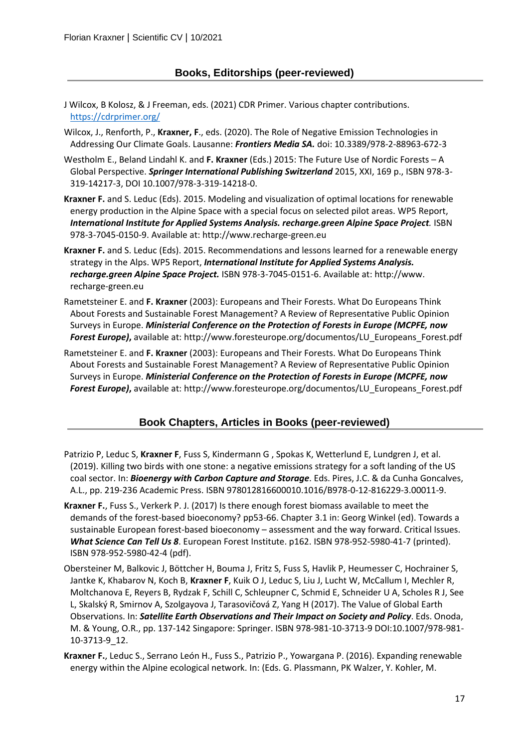- J Wilcox, B Kolosz, & J Freeman, eds. (2021) CDR Primer. Various chapter contributions. <https://cdrprimer.org/>
- Wilcox, J., Renforth, P., **Kraxner, F**., eds. (2020). The Role of Negative Emission Technologies in Addressing Our Climate Goals. Lausanne: *Frontiers Media SA.* doi: 10.3389/978-2-88963-672-3
- Westholm E., Beland Lindahl K. and **F. Kraxner** (Eds.) 2015: The Future Use of Nordic Forests A Global Perspective. *Springer International Publishing Switzerland* 2015, XXI, 169 p., ISBN 978-3- 319-14217-3, DOI 10.1007/978-3-319-14218-0.
- **Kraxner F.** and S. Leduc (Eds). 2015. Modeling and visualization of optimal locations for renewable energy production in the Alpine Space with a special focus on selected pilot areas. WP5 Report, *International Institute for Applied Systems Analysis. recharge.green Alpine Space Project.* ISBN 978-3-7045-0150-9. Available at: http://www.recharge-green.eu
- **Kraxner F.** and S. Leduc (Eds). 2015. Recommendations and lessons learned for a renewable energy strategy in the Alps. WP5 Report, *International Institute for Applied Systems Analysis. recharge.green Alpine Space Project.* ISBN 978-3-7045-0151-6. Available at: http://www. recharge-green.eu
- Rametsteiner E. and **F. Kraxner** (2003): Europeans and Their Forests. What Do Europeans Think About Forests and Sustainable Forest Management? A Review of Representative Public Opinion Surveys in Europe. *Ministerial Conference on the Protection of Forests in Europe (MCPFE, now Forest Europe)***,** available at: http://www.foresteurope.org/documentos/LU\_Europeans\_Forest.pdf
- Rametsteiner E. and **F. Kraxner** (2003): Europeans and Their Forests. What Do Europeans Think About Forests and Sustainable Forest Management? A Review of Representative Public Opinion Surveys in Europe. *Ministerial Conference on the Protection of Forests in Europe (MCPFE, now Forest Europe)***,** available at: http://www.foresteurope.org/documentos/LU\_Europeans\_Forest.pdf

## **Book Chapters, Articles in Books (peer-reviewed)**

- Patrizio P, Leduc S, **Kraxner F**, Fuss S, Kindermann G , Spokas K, Wetterlund E, Lundgren J, et al. (2019). Killing two birds with one stone: a negative emissions strategy for a soft landing of the US coal sector. In: *Bioenergy with Carbon Capture and Storage*. Eds. Pires, J.C. & da Cunha Goncalves, A.L., pp. 219-236 Academic Press. ISBN 978012816600010.1016/B978-0-12-816229-3.00011-9.
- **Kraxner F.**, Fuss S., Verkerk P. J. (2017) Is there enough forest biomass available to meet the demands of the forest-based bioeconomy? pp53-66. Chapter 3.1 in: Georg Winkel (ed). Towards a sustainable European forest-based bioeconomy – assessment and the way forward. Critical Issues. *What Science Can Tell Us 8*. European Forest Institute. p162. ISBN 978-952-5980-41-7 (printed). ISBN 978-952-5980-42-4 (pdf).
- Obersteiner M, Balkovic J, Böttcher H, Bouma J, Fritz S, Fuss S, Havlik P, Heumesser C, Hochrainer S, Jantke K, Khabarov N, Koch B, **Kraxner F**, Kuik O J, Leduc S, Liu J, Lucht W, McCallum I, Mechler R, Moltchanova E, Reyers B, Rydzak F, Schill C, Schleupner C, Schmid E, Schneider U A, Scholes R J, See L, Skalský R, Smirnov A, Szolgayova J, Tarasovičová Z, Yang H (2017). The Value of Global Earth Observations. In: *Satellite Earth Observations and Their Impact on Society and Policy*. Eds. Onoda, M. & Young, O.R., pp. 137-142 Singapore: Springer. ISBN 978-981-10-3713-9 DOI:10.1007/978-981- 10-3713-9\_12.
- **Kraxner F.**, Leduc S., Serrano León H., Fuss S., Patrizio P., Yowargana P. (2016). Expanding renewable energy within the Alpine ecological network. In: (Eds. G. Plassmann, PK Walzer, Y. Kohler, M.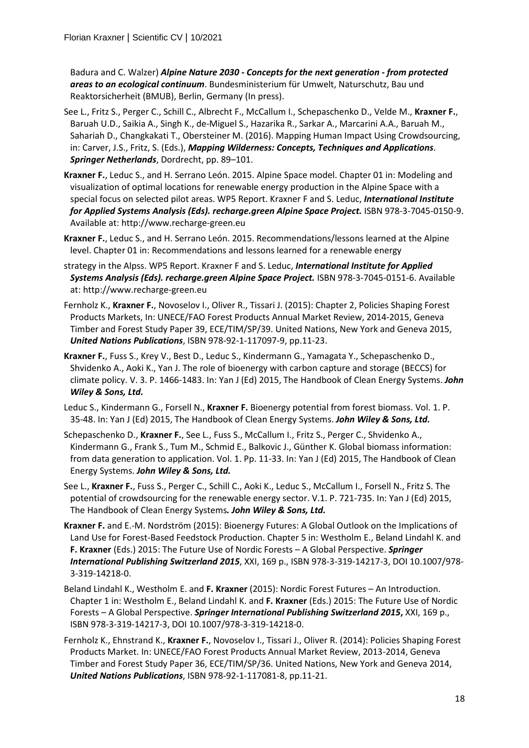Badura and C. Walzer) *Alpine Nature 2030 - Concepts for the next generation - from protected areas to an ecological continuum*. Bundesministerium für Umwelt, Naturschutz, Bau und Reaktorsicherheit (BMUB), Berlin, Germany (In press).

- See L., Fritz S., Perger C., Schill C., Albrecht F., McCallum I., Schepaschenko D., Velde M., **Kraxner F.**, Baruah U.D., Saikia A., Singh K., de-Miguel S., Hazarika R., Sarkar A., Marcarini A.A., Baruah M., Sahariah D., Changkakati T., Obersteiner M. (2016). Mapping Human Impact Using Crowdsourcing, in: Carver, J.S., Fritz, S. (Eds.), *Mapping Wilderness: Concepts, Techniques and Applications*. *Springer Netherlands*, Dordrecht, pp. 89–101.
- **Kraxner F.**, Leduc S., and H. Serrano León. 2015. Alpine Space model. Chapter 01 in: Modeling and visualization of optimal locations for renewable energy production in the Alpine Space with a special focus on selected pilot areas. WP5 Report. Kraxner F and S. Leduc, *International Institute for Applied Systems Analysis (Eds). recharge.green Alpine Space Project.* ISBN 978-3-7045-0150-9. Available at: http://www.recharge-green.eu
- **Kraxner F.**, Leduc S., and H. Serrano León. 2015. Recommendations/lessons learned at the Alpine level. Chapter 01 in: Recommendations and lessons learned for a renewable energy
- strategy in the Alpss. WP5 Report. Kraxner F and S. Leduc, *International Institute for Applied Systems Analysis (Eds). recharge.green Alpine Space Project.* ISBN 978-3-7045-0151-6. Available at: http://www.recharge-green.eu
- Fernholz K., **Kraxner F.**, Novoselov I., Oliver R., Tissari J. (2015): Chapter 2, Policies Shaping Forest Products Markets, In: UNECE/FAO Forest Products Annual Market Review, 2014-2015, Geneva Timber and Forest Study Paper 39, ECE/TIM/SP/39. United Nations, New York and Geneva 2015, *United Nations Publications*, ISBN 978-92-1-117097-9, pp.11-23.
- **Kraxner F.**, Fuss S., Krey V., Best D., Leduc S., Kindermann G., Yamagata Y., Schepaschenko D., Shvidenko A., Aoki K., Yan J. The role of bioenergy with carbon capture and storage (BECCS) for climate policy. V. 3. P. 1466-1483. In: Yan J (Ed) 2015, The Handbook of Clean Energy Systems. *John Wiley & Sons, Ltd.*
- Leduc S., Kindermann G., Forsell N., **Kraxner F.** Bioenergy potential from forest biomass. Vol. 1. P. 35-48. In: Yan J (Ed) 2015, The Handbook of Clean Energy Systems. *John Wiley & Sons, Ltd.*
- Schepaschenko D., **Kraxner F.**, See L., Fuss S., McCallum I., Fritz S., Perger C., Shvidenko A., Kindermann G., Frank S., Tum M., Schmid E., Balkovic J., Günther K. Global biomass information: from data generation to application. Vol. 1. Pp. 11-33. In: Yan J (Ed) 2015, The Handbook of Clean Energy Systems. *John Wiley & Sons, Ltd.*
- See L., **Kraxner F.**, Fuss S., Perger C., Schill C., Aoki K., Leduc S., McCallum I., Forsell N., Fritz S. The potential of crowdsourcing for the renewable energy sector. V.1. P. 721-735. In: Yan J (Ed) 2015, The Handbook of Clean Energy Systems*. John Wiley & Sons, Ltd.*
- **Kraxner F.** and E.-M. Nordström (2015): Bioenergy Futures: A Global Outlook on the Implications of Land Use for Forest-Based Feedstock Production. Chapter 5 in: Westholm E., Beland Lindahl K. and **F. Kraxner** (Eds.) 2015: The Future Use of Nordic Forests – A Global Perspective. *Springer International Publishing Switzerland 2015*, XXI, 169 p., ISBN 978-3-319-14217-3, DOI 10.1007/978- 3-319-14218-0.
- Beland Lindahl K., Westholm E. and **F. Kraxner** (2015): Nordic Forest Futures An Introduction. Chapter 1 in: Westholm E., Beland Lindahl K. and **F. Kraxner** (Eds.) 2015: The Future Use of Nordic Forests – A Global Perspective. *Springer International Publishing Switzerland 2015***,** XXI, 169 p., ISBN 978-3-319-14217-3, DOI 10.1007/978-3-319-14218-0.
- Fernholz K., Ehnstrand K., **Kraxner F.**, Novoselov I., Tissari J., Oliver R. (2014): Policies Shaping Forest Products Market. In: UNECE/FAO Forest Products Annual Market Review, 2013-2014, Geneva Timber and Forest Study Paper 36, ECE/TIM/SP/36. United Nations, New York and Geneva 2014, *United Nations Publications*, ISBN 978-92-1-117081-8, pp.11-21.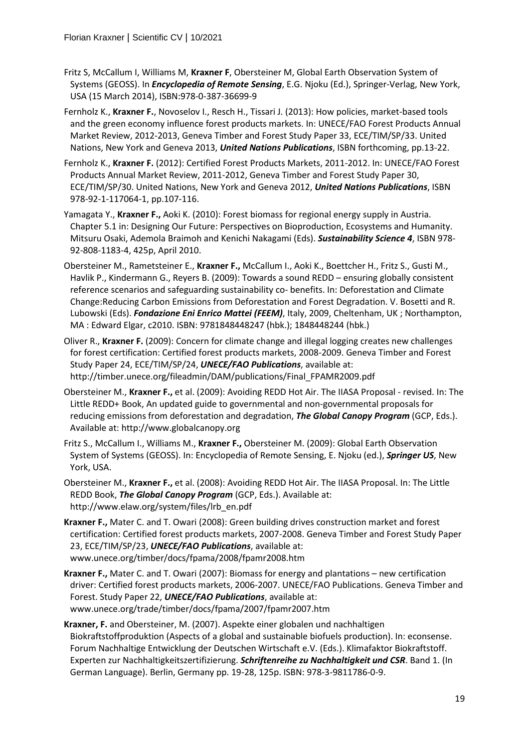- Fritz S, McCallum I, Williams M, **Kraxner F**, Obersteiner M, Global Earth Observation System of Systems (GEOSS). In *Encyclopedia of Remote Sensing*, E.G. Njoku (Ed.), Springer-Verlag, New York, USA (15 March 2014), ISBN:978-0-387-36699-9
- Fernholz K., **Kraxner F.**, Novoselov I., Resch H., Tissari J. (2013): How policies, market-based tools and the green economy influence forest products markets. In: UNECE/FAO Forest Products Annual Market Review, 2012-2013, Geneva Timber and Forest Study Paper 33, ECE/TIM/SP/33. United Nations, New York and Geneva 2013, *United Nations Publications*, ISBN forthcoming, pp.13-22.
- Fernholz K., **Kraxner F.** (2012): Certified Forest Products Markets, 2011-2012. In: UNECE/FAO Forest Products Annual Market Review, 2011-2012, Geneva Timber and Forest Study Paper 30, ECE/TIM/SP/30. United Nations, New York and Geneva 2012, *United Nations Publications*, ISBN 978-92-1-117064-1, pp.107-116.
- Yamagata Y., **Kraxner F.,** Aoki K. (2010): Forest biomass for regional energy supply in Austria. Chapter 5.1 in: Designing Our Future: Perspectives on Bioproduction, Ecosystems and Humanity. Mitsuru Osaki, Ademola Braimoh and Kenichi Nakagami (Eds). *Sustainability Science 4*, ISBN 978- 92-808-1183-4, 425p, April 2010.
- Obersteiner M., Rametsteiner E., **Kraxner F.,** McCallum I., Aoki K., Boettcher H., Fritz S., Gusti M., Havlik P., Kindermann G., Reyers B. (2009): Towards a sound REDD – ensuring globally consistent reference scenarios and safeguarding sustainability co- benefits. In: Deforestation and Climate Change:Reducing Carbon Emissions from Deforestation and Forest Degradation. V. Bosetti and R. Lubowski (Eds). *Fondazione Eni Enrico Mattei (FEEM)*, Italy, 2009, Cheltenham, UK ; Northampton, MA : Edward Elgar, c2010. ISBN: 9781848448247 (hbk.); 1848448244 (hbk.)
- Oliver R., **Kraxner F.** (2009): Concern for climate change and illegal logging creates new challenges for forest certification: Certified forest products markets, 2008-2009. Geneva Timber and Forest Study Paper 24, ECE/TIM/SP/24, *UNECE/FAO Publications*, available at: http://timber.unece.org/fileadmin/DAM/publications/Final\_FPAMR2009.pdf
- Obersteiner M., **Kraxner F.,** et al. (2009): Avoiding REDD Hot Air. The IIASA Proposal revised. In: The Little REDD+ Book, An updated guide to governmental and non-governmental proposals for reducing emissions from deforestation and degradation, *The Global Canopy Program* (GCP, Eds.). Available at: http://www.globalcanopy.org
- Fritz S., McCallum I., Williams M., **Kraxner F.,** Obersteiner M. (2009): Global Earth Observation System of Systems (GEOSS). In: Encyclopedia of Remote Sensing, E. Njoku (ed.), *Springer US*, New York, USA.
- Obersteiner M., **Kraxner F.,** et al. (2008): Avoiding REDD Hot Air. The IIASA Proposal. In: The Little REDD Book, *The Global Canopy Program* (GCP, Eds.). Available at: http://www.elaw.org/system/files/lrb\_en.pdf
- **Kraxner F.,** Mater C. and T. Owari (2008): Green building drives construction market and forest certification: Certified forest products markets, 2007-2008. Geneva Timber and Forest Study Paper 23, ECE/TIM/SP/23, *UNECE/FAO Publications*, available at: www.unece.org/timber/docs/fpama/2008/fpamr2008.htm
- **Kraxner F.,** Mater C. and T. Owari (2007): Biomass for energy and plantations new certification driver: Certified forest products markets, 2006-2007. UNECE/FAO Publications. Geneva Timber and Forest. Study Paper 22, *UNECE/FAO Publications*, available at: www.unece.org/trade/timber/docs/fpama/2007/fpamr2007.htm
- **Kraxner, F.** and Obersteiner, M. (2007). Aspekte einer globalen und nachhaltigen Biokraftstoffproduktion (Aspects of a global and sustainable biofuels production). In: econsense. Forum Nachhaltige Entwicklung der Deutschen Wirtschaft e.V. (Eds.). Klimafaktor Biokraftstoff. Experten zur Nachhaltigkeitszertifizierung. *Schriftenreihe zu Nachhaltigkeit und CSR*. Band 1. (In German Language). Berlin, Germany pp. 19-28, 125p. ISBN: 978-3-9811786-0-9.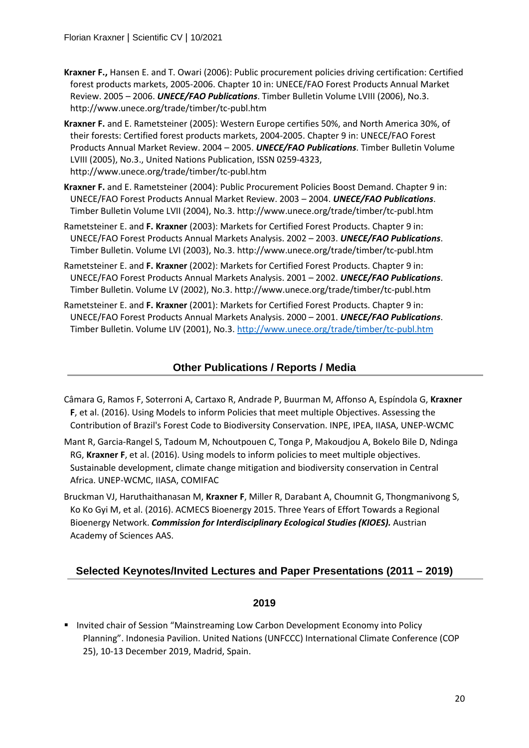- **Kraxner F.,** Hansen E. and T. Owari (2006): Public procurement policies driving certification: Certified forest products markets, 2005-2006. Chapter 10 in: UNECE/FAO Forest Products Annual Market Review. 2005 – 2006. *UNECE/FAO Publications*. Timber Bulletin Volume LVIII (2006), No.3. http://www.unece.org/trade/timber/tc-publ.htm
- **Kraxner F.** and E. Rametsteiner (2005): Western Europe certifies 50%, and North America 30%, of their forests: Certified forest products markets, 2004-2005. Chapter 9 in: UNECE/FAO Forest Products Annual Market Review. 2004 – 2005. *UNECE/FAO Publications*. Timber Bulletin Volume LVIII (2005), No.3., United Nations Publication, ISSN 0259-4323, http://www.unece.org/trade/timber/tc-publ.htm
- **Kraxner F.** and E. Rametsteiner (2004): Public Procurement Policies Boost Demand. Chapter 9 in: UNECE/FAO Forest Products Annual Market Review. 2003 – 2004. *UNECE/FAO Publications*. Timber Bulletin Volume LVII (2004), No.3. http://www.unece.org/trade/timber/tc-publ.htm
- Rametsteiner E. and **F. Kraxner** (2003): Markets for Certified Forest Products. Chapter 9 in: UNECE/FAO Forest Products Annual Markets Analysis. 2002 – 2003. *UNECE/FAO Publications*. Timber Bulletin. Volume LVI (2003), No.3. http://www.unece.org/trade/timber/tc-publ.htm
- Rametsteiner E. and **F. Kraxner** (2002): Markets for Certified Forest Products. Chapter 9 in: UNECE/FAO Forest Products Annual Markets Analysis. 2001 – 2002. *UNECE/FAO Publications*. Timber Bulletin. Volume LV (2002), No.3. http://www.unece.org/trade/timber/tc-publ.htm
- Rametsteiner E. and **F. Kraxner** (2001): Markets for Certified Forest Products. Chapter 9 in: UNECE/FAO Forest Products Annual Markets Analysis. 2000 – 2001. *UNECE/FAO Publications*. Timber Bulletin. Volume LIV (2001), No.3.<http://www.unece.org/trade/timber/tc-publ.htm>

## **Other Publications / Reports / Media**

- Câmara G, Ramos F, Soterroni A, Cartaxo R, Andrade P, Buurman M, Affonso A, Espíndola G, **Kraxner F**, et al. (2016). Using Models to inform Policies that meet multiple Objectives. Assessing the Contribution of Brazil's Forest Code to Biodiversity Conservation. INPE, IPEA, IIASA, UNEP-WCMC
- Mant R, Garcia-Rangel S, Tadoum M, Nchoutpouen C, Tonga P, Makoudjou A, Bokelo Bile D, Ndinga RG, **Kraxner F**, et al. (2016). Using models to inform policies to meet multiple objectives. Sustainable development, climate change mitigation and biodiversity conservation in Central Africa. UNEP-WCMC, IIASA, COMIFAC
- Bruckman VJ, Haruthaithanasan M, **Kraxner F**, Miller R, Darabant A, Choumnit G, Thongmanivong S, Ko Ko Gyi M, et al. (2016). ACMECS Bioenergy 2015. Three Years of Effort Towards a Regional Bioenergy Network. *Commission for Interdisciplinary Ecological Studies (KIOES).* Austrian Academy of Sciences AAS.

## **Selected Keynotes/Invited Lectures and Paper Presentations (2011 – 2019)**

#### **2019**

**Invited chair of Session "Mainstreaming Low Carbon Development Economy into Policy** Planning". Indonesia Pavilion. United Nations (UNFCCC) International Climate Conference (COP 25), 10-13 December 2019, Madrid, Spain.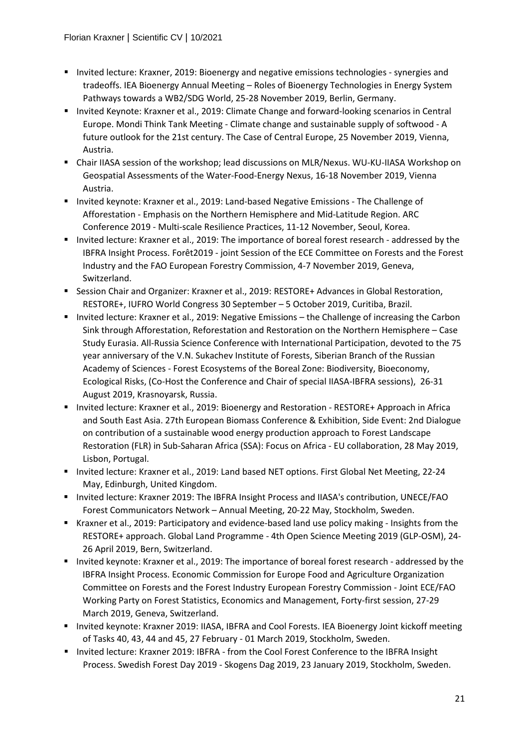- **Invited lecture: Kraxner, 2019: Bioenergy and negative emissions technologies synergies and** tradeoffs. IEA Bioenergy Annual Meeting – Roles of Bioenergy Technologies in Energy System Pathways towards a WB2/SDG World, 25-28 November 2019, Berlin, Germany.
- Invited Keynote: Kraxner et al., 2019: Climate Change and forward-looking scenarios in Central Europe. Mondi Think Tank Meeting - Climate change and sustainable supply of softwood - A future outlook for the 21st century. The Case of Central Europe, 25 November 2019, Vienna, Austria.
- Chair IIASA session of the workshop; lead discussions on MLR/Nexus. WU-KU-IIASA Workshop on Geospatial Assessments of the Water-Food-Energy Nexus, 16-18 November 2019, Vienna Austria.
- Invited keynote: Kraxner et al., 2019: Land-based Negative Emissions The Challenge of Afforestation - Emphasis on the Northern Hemisphere and Mid-Latitude Region. ARC Conference 2019 - Multi-scale Resilience Practices, 11-12 November, Seoul, Korea.
- Invited lecture: Kraxner et al., 2019: The importance of boreal forest research addressed by the IBFRA Insight Process. Forêt2019 - joint Session of the ECE Committee on Forests and the Forest Industry and the FAO European Forestry Commission, 4-7 November 2019, Geneva, Switzerland.
- **Session Chair and Organizer: Kraxner et al., 2019: RESTORE+ Advances in Global Restoration, 4** RESTORE+, IUFRO World Congress 30 September – 5 October 2019, Curitiba, Brazil.
- Invited lecture: Kraxner et al., 2019: Negative Emissions the Challenge of increasing the Carbon Sink through Afforestation, Reforestation and Restoration on the Northern Hemisphere – Case Study Eurasia. All-Russia Science Conference with International Participation, devoted to the 75 year anniversary of the V.N. Sukachev Institute of Forests, Siberian Branch of the Russian Academy of Sciences - Forest Ecosystems of the Boreal Zone: Biodiversity, Bioeconomy, Ecological Risks, (Co-Host the Conference and Chair of special IIASA-IBFRA sessions), 26-31 August 2019, Krasnoyarsk, Russia.
- Invited lecture: Kraxner et al., 2019: Bioenergy and Restoration RESTORE+ Approach in Africa and South East Asia. 27th European Biomass Conference & Exhibition, Side Event: 2nd Dialogue on contribution of a sustainable wood energy production approach to Forest Landscape Restoration (FLR) in Sub-Saharan Africa (SSA): Focus on Africa - EU collaboration, 28 May 2019, Lisbon, Portugal.
- **Invited lecture: Kraxner et al., 2019: Land based NET options. First Global Net Meeting, 22-24** May, Edinburgh, United Kingdom.
- Invited lecture: Kraxner 2019: The IBFRA Insight Process and IIASA's contribution, UNECE/FAO Forest Communicators Network – Annual Meeting, 20-22 May, Stockholm, Sweden.
- Kraxner et al., 2019: Participatory and evidence-based land use policy making Insights from the RESTORE+ approach. Global Land Programme - 4th Open Science Meeting 2019 (GLP-OSM), 24- 26 April 2019, Bern, Switzerland.
- Invited keynote: Kraxner et al., 2019: The importance of boreal forest research addressed by the IBFRA Insight Process. Economic Commission for Europe Food and Agriculture Organization Committee on Forests and the Forest Industry European Forestry Commission - Joint ECE/FAO Working Party on Forest Statistics, Economics and Management, Forty-first session, 27-29 March 2019, Geneva, Switzerland.
- Invited keynote: Kraxner 2019: IIASA, IBFRA and Cool Forests. IEA Bioenergy Joint kickoff meeting of Tasks 40, 43, 44 and 45, 27 February - 01 March 2019, Stockholm, Sweden.
- **Invited lecture: Kraxner 2019: IBFRA from the Cool Forest Conference to the IBFRA Insight** Process. Swedish Forest Day 2019 - Skogens Dag 2019, 23 January 2019, Stockholm, Sweden.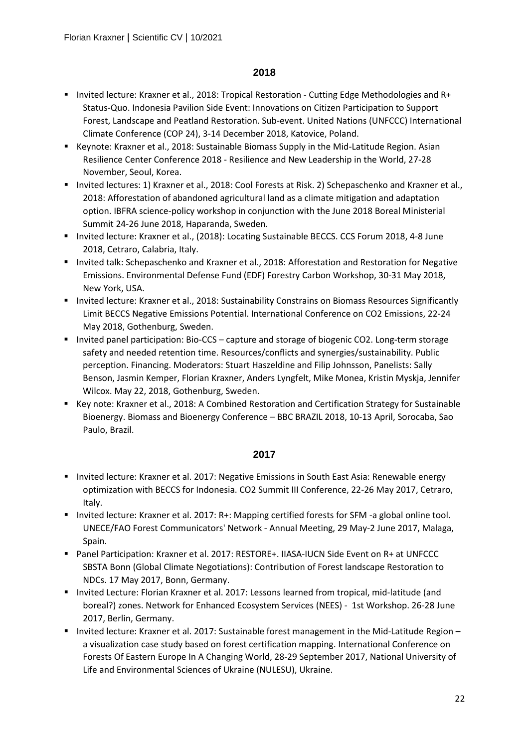- Invited lecture: Kraxner et al., 2018: Tropical Restoration Cutting Edge Methodologies and R+ Status-Quo. Indonesia Pavilion Side Event: Innovations on Citizen Participation to Support Forest, Landscape and Peatland Restoration. Sub-event. United Nations (UNFCCC) International Climate Conference (COP 24), 3-14 December 2018, Katovice, Poland.
- **Keynote: Kraxner et al., 2018: Sustainable Biomass Supply in the Mid-Latitude Region. Asian** Resilience Center Conference 2018 - Resilience and New Leadership in the World, 27-28 November, Seoul, Korea.
- Invited lectures: 1) Kraxner et al., 2018: Cool Forests at Risk. 2) Schepaschenko and Kraxner et al., 2018: Afforestation of abandoned agricultural land as a climate mitigation and adaptation option. IBFRA science-policy workshop in conjunction with the June 2018 Boreal Ministerial Summit 24-26 June 2018, Haparanda, Sweden.
- **Invited lecture: Kraxner et al., (2018): Locating Sustainable BECCS. CCS Forum 2018, 4-8 June** 2018, Cetraro, Calabria, Italy.
- **Invited talk: Schepaschenko and Kraxner et al., 2018: Afforestation and Restoration for Negative** Emissions. Environmental Defense Fund (EDF) Forestry Carbon Workshop, 30-31 May 2018, New York, USA.
- Invited lecture: Kraxner et al., 2018: Sustainability Constrains on Biomass Resources Significantly Limit BECCS Negative Emissions Potential. International Conference on CO2 Emissions, 22-24 May 2018, Gothenburg, Sweden.
- Invited panel participation: Bio-CCS capture and storage of biogenic CO2. Long-term storage safety and needed retention time. Resources/conflicts and synergies/sustainability. Public perception. Financing. Moderators: Stuart Haszeldine and Filip Johnsson, Panelists: Sally Benson, Jasmin Kemper, Florian Kraxner, Anders Lyngfelt, Mike Monea, Kristin Myskja, Jennifer Wilcox. May 22, 2018, Gothenburg, Sweden.
- Key note: Kraxner et al., 2018: A Combined Restoration and Certification Strategy for Sustainable Bioenergy. Biomass and Bioenergy Conference – BBC BRAZIL 2018, 10-13 April, Sorocaba, Sao Paulo, Brazil.

- **Invited lecture: Kraxner et al. 2017: Negative Emissions in South East Asia: Renewable energy** optimization with BECCS for Indonesia. CO2 Summit III Conference, 22-26 May 2017, Cetraro, Italy.
- Invited lecture: Kraxner et al. 2017: R+: Mapping certified forests for SFM -a global online tool. UNECE/FAO Forest Communicators' Network - Annual Meeting, 29 May-2 June 2017, Malaga, Spain.
- Panel Participation: Kraxner et al. 2017: RESTORE+. IIASA-IUCN Side Event on R+ at UNFCCC SBSTA Bonn (Global Climate Negotiations): Contribution of Forest landscape Restoration to NDCs. 17 May 2017, Bonn, Germany.
- **Invited Lecture: Florian Kraxner et al. 2017: Lessons learned from tropical, mid-latitude (and 4)** boreal?) zones. Network for Enhanced Ecosystem Services (NEES) - 1st Workshop. 26-28 June 2017, Berlin, Germany.
- Invited lecture: Kraxner et al. 2017: Sustainable forest management in the Mid-Latitude Region a visualization case study based on forest certification mapping. International Conference on Forests Of Eastern Europe In A Changing World, 28-29 September 2017, National University of Life and Environmental Sciences of Ukraine (NULESU), Ukraine.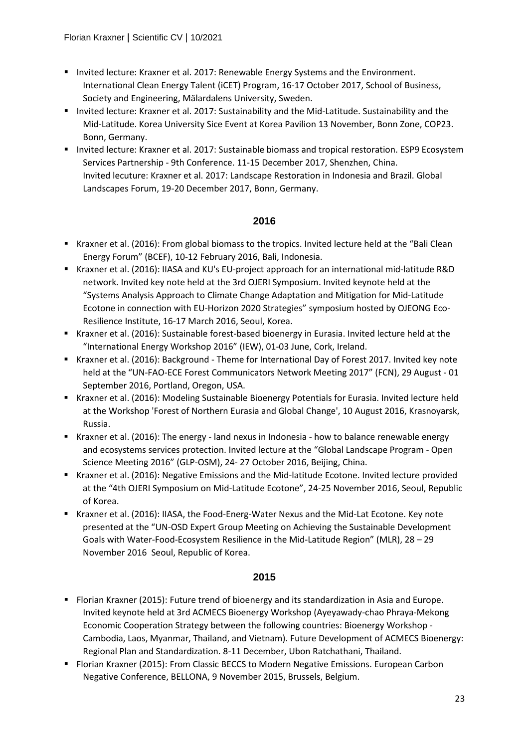- **Invited lecture: Kraxner et al. 2017: Renewable Energy Systems and the Environment.** International Clean Energy Talent (iCET) Program, 16-17 October 2017, School of Business, Society and Engineering, Mälardalens University, Sweden.
- Invited lecture: Kraxner et al. 2017: Sustainability and the Mid-Latitude. Sustainability and the Mid-Latitude. Korea University Sice Event at Korea Pavilion 13 November, Bonn Zone, COP23. Bonn, Germany.
- Invited lecture: Kraxner et al. 2017: Sustainable biomass and tropical restoration. ESP9 Ecosystem Services Partnership - 9th Conference. 11-15 December 2017, Shenzhen, China. Invited lecuture: Kraxner et al. 2017: Landscape Restoration in Indonesia and Brazil. Global Landscapes Forum, 19-20 December 2017, Bonn, Germany.

- Kraxner et al. (2016): From global biomass to the tropics. Invited lecture held at the "Bali Clean Energy Forum" (BCEF), 10-12 February 2016, Bali, Indonesia.
- Kraxner et al. (2016): IIASA and KU's EU-project approach for an international mid-latitude R&D network. Invited key note held at the 3rd OJERI Symposium. Invited keynote held at the "Systems Analysis Approach to Climate Change Adaptation and Mitigation for Mid-Latitude Ecotone in connection with EU-Horizon 2020 Strategies" symposium hosted by OJEONG Eco-Resilience Institute, 16-17 March 2016, Seoul, Korea.
- Kraxner et al. (2016): Sustainable forest-based bioenergy in Eurasia. Invited lecture held at the "International Energy Workshop 2016" (IEW), 01-03 June, Cork, Ireland.
- Kraxner et al. (2016): Background Theme for International Day of Forest 2017. Invited key note held at the "UN-FAO-ECE Forest Communicators Network Meeting 2017" (FCN), 29 August - 01 September 2016, Portland, Oregon, USA.
- Kraxner et al. (2016): Modeling Sustainable Bioenergy Potentials for Eurasia. Invited lecture held at the Workshop 'Forest of Northern Eurasia and Global Change', 10 August 2016, Krasnoyarsk, Russia.
- Kraxner et al. (2016): The energy land nexus in Indonesia how to balance renewable energy and ecosystems services protection. Invited lecture at the "Global Landscape Program - Open Science Meeting 2016" (GLP-OSM), 24- 27 October 2016, Beijing, China.
- Kraxner et al. (2016): Negative Emissions and the Mid-latitude Ecotone. Invited lecture provided at the "4th OJERI Symposium on Mid-Latitude Ecotone", 24-25 November 2016, Seoul, Republic of Korea.
- Kraxner et al. (2016): IIASA, the Food-Energ-Water Nexus and the Mid-Lat Ecotone. Key note presented at the "UN-OSD Expert Group Meeting on Achieving the Sustainable Development Goals with Water-Food-Ecosystem Resilience in the Mid-Latitude Region" (MLR), 28 – 29 November 2016 Seoul, Republic of Korea.

- Florian Kraxner (2015): Future trend of bioenergy and its standardization in Asia and Europe. Invited keynote held at 3rd ACMECS Bioenergy Workshop (Ayeyawady-chao Phraya-Mekong Economic Cooperation Strategy between the following countries: Bioenergy Workshop - Cambodia, Laos, Myanmar, Thailand, and Vietnam). Future Development of ACMECS Bioenergy: Regional Plan and Standardization. 8-11 December, Ubon Ratchathani, Thailand.
- Florian Kraxner (2015): From Classic BECCS to Modern Negative Emissions. European Carbon Negative Conference, BELLONA, 9 November 2015, Brussels, Belgium.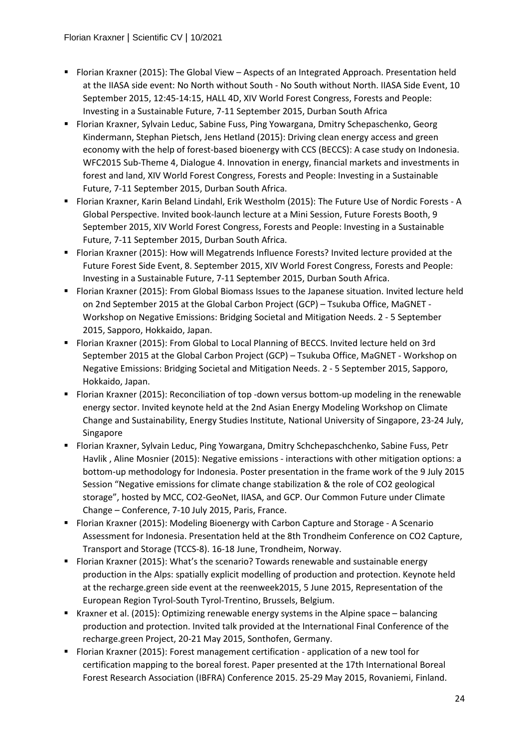- Florian Kraxner (2015): The Global View Aspects of an Integrated Approach. Presentation held at the IIASA side event: No North without South - No South without North. IIASA Side Event, 10 September 2015, 12:45-14:15, HALL 4D, XIV World Forest Congress, Forests and People: Investing in a Sustainable Future, 7-11 September 2015, Durban South Africa
- Florian Kraxner, Sylvain Leduc, Sabine Fuss, Ping Yowargana, Dmitry Schepaschenko, Georg Kindermann, Stephan Pietsch, Jens Hetland (2015): Driving clean energy access and green economy with the help of forest-based bioenergy with CCS (BECCS): A case study on Indonesia. WFC2015 Sub-Theme 4, Dialogue 4. Innovation in energy, financial markets and investments in forest and land, XIV World Forest Congress, Forests and People: Investing in a Sustainable Future, 7-11 September 2015, Durban South Africa.
- Florian Kraxner, Karin Beland Lindahl, Erik Westholm (2015): The Future Use of Nordic Forests A Global Perspective. Invited book-launch lecture at a Mini Session, Future Forests Booth, 9 September 2015, XIV World Forest Congress, Forests and People: Investing in a Sustainable Future, 7-11 September 2015, Durban South Africa.
- Florian Kraxner (2015): How will Megatrends Influence Forests? Invited lecture provided at the Future Forest Side Event, 8. September 2015, XIV World Forest Congress, Forests and People: Investing in a Sustainable Future, 7-11 September 2015, Durban South Africa.
- Florian Kraxner (2015): From Global Biomass Issues to the Japanese situation. Invited lecture held on 2nd September 2015 at the Global Carbon Project (GCP) – Tsukuba Office, MaGNET - Workshop on Negative Emissions: Bridging Societal and Mitigation Needs. 2 - 5 September 2015, Sapporo, Hokkaido, Japan.
- Florian Kraxner (2015): From Global to Local Planning of BECCS. Invited lecture held on 3rd September 2015 at the Global Carbon Project (GCP) – Tsukuba Office, MaGNET - Workshop on Negative Emissions: Bridging Societal and Mitigation Needs. 2 - 5 September 2015, Sapporo, Hokkaido, Japan.
- Florian Kraxner (2015): Reconciliation of top -down versus bottom-up modeling in the renewable energy sector. Invited keynote held at the 2nd Asian Energy Modeling Workshop on Climate Change and Sustainability, Energy Studies Institute, National University of Singapore, 23-24 July, Singapore
- Florian Kraxner, Sylvain Leduc, Ping Yowargana, Dmitry Schchepaschchenko, Sabine Fuss, Petr Havlik , Aline Mosnier (2015): Negative emissions - interactions with other mitigation options: a bottom-up methodology for Indonesia. Poster presentation in the frame work of the 9 July 2015 Session "Negative emissions for climate change stabilization & the role of CO2 geological storage", hosted by MCC, CO2-GeoNet, IIASA, and GCP. Our Common Future under Climate Change – Conference, 7-10 July 2015, Paris, France.
- Florian Kraxner (2015): Modeling Bioenergy with Carbon Capture and Storage A Scenario Assessment for Indonesia. Presentation held at the 8th Trondheim Conference on CO2 Capture, Transport and Storage (TCCS-8). 16-18 June, Trondheim, Norway.
- Florian Kraxner (2015): What's the scenario? Towards renewable and sustainable energy production in the Alps: spatially explicit modelling of production and protection. Keynote held at the recharge.green side event at the reenweek2015, 5 June 2015, Representation of the European Region Tyrol-South Tyrol-Trentino, Brussels, Belgium.
- Kraxner et al. (2015): Optimizing renewable energy systems in the Alpine space balancing production and protection. Invited talk provided at the International Final Conference of the recharge.green Project, 20-21 May 2015, Sonthofen, Germany.
- Florian Kraxner (2015): Forest management certification application of a new tool for certification mapping to the boreal forest. Paper presented at the 17th International Boreal Forest Research Association (IBFRA) Conference 2015. 25-29 May 2015, Rovaniemi, Finland.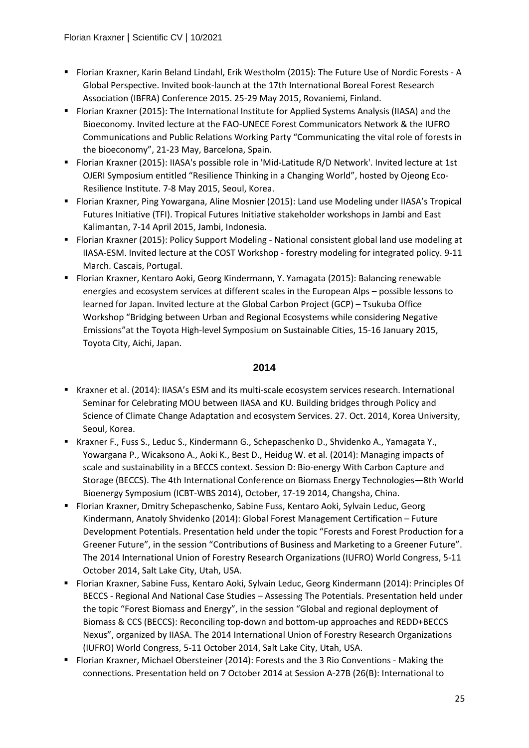- Florian Kraxner, Karin Beland Lindahl, Erik Westholm (2015): The Future Use of Nordic Forests A Global Perspective. Invited book-launch at the 17th International Boreal Forest Research Association (IBFRA) Conference 2015. 25-29 May 2015, Rovaniemi, Finland.
- Florian Kraxner (2015): The International Institute for Applied Systems Analysis (IIASA) and the Bioeconomy. Invited lecture at the FAO-UNECE Forest Communicators Network & the IUFRO Communications and Public Relations Working Party "Communicating the vital role of forests in the bioeconomy", 21-23 May, Barcelona, Spain.
- Florian Kraxner (2015): IIASA's possible role in 'Mid-Latitude R/D Network'. Invited lecture at 1st OJERI Symposium entitled "Resilience Thinking in a Changing World", hosted by Ojeong Eco-Resilience Institute. 7-8 May 2015, Seoul, Korea.
- Florian Kraxner, Ping Yowargana, Aline Mosnier (2015): Land use Modeling under IIASA's Tropical Futures Initiative (TFI). Tropical Futures Initiative stakeholder workshops in Jambi and East Kalimantan, 7-14 April 2015, Jambi, Indonesia.
- Florian Kraxner (2015): Policy Support Modeling National consistent global land use modeling at IIASA-ESM. Invited lecture at the COST Workshop - forestry modeling for integrated policy. 9-11 March. Cascais, Portugal.
- Florian Kraxner, Kentaro Aoki, Georg Kindermann, Y. Yamagata (2015): Balancing renewable energies and ecosystem services at different scales in the European Alps – possible lessons to learned for Japan. Invited lecture at the Global Carbon Project (GCP) – Tsukuba Office Workshop "Bridging between Urban and Regional Ecosystems while considering Negative Emissions"at the Toyota High-level Symposium on Sustainable Cities, 15-16 January 2015, Toyota City, Aichi, Japan.

- Kraxner et al. (2014): IIASA's ESM and its multi-scale ecosystem services research. International Seminar for Celebrating MOU between IIASA and KU. Building bridges through Policy and Science of Climate Change Adaptation and ecosystem Services. 27. Oct. 2014, Korea University, Seoul, Korea.
- Kraxner F., Fuss S., Leduc S., Kindermann G., Schepaschenko D., Shvidenko A., Yamagata Y., Yowargana P., Wicaksono A., Aoki K., Best D., Heidug W. et al. (2014): Managing impacts of scale and sustainability in a BECCS context. Session D: Bio-energy With Carbon Capture and Storage (BECCS). The 4th International Conference on Biomass Energy Technologies—8th World Bioenergy Symposium (ICBT-WBS 2014), October, 17-19 2014, Changsha, China.
- Florian Kraxner, Dmitry Schepaschenko, Sabine Fuss, Kentaro Aoki, Sylvain Leduc, Georg Kindermann, Anatoly Shvidenko (2014): Global Forest Management Certification – Future Development Potentials. Presentation held under the topic "Forests and Forest Production for a Greener Future", in the session "Contributions of Business and Marketing to a Greener Future". The 2014 International Union of Forestry Research Organizations (IUFRO) World Congress, 5-11 October 2014, Salt Lake City, Utah, USA.
- Florian Kraxner, Sabine Fuss, Kentaro Aoki, Sylvain Leduc, Georg Kindermann (2014): Principles Of BECCS - Regional And National Case Studies – Assessing The Potentials. Presentation held under the topic "Forest Biomass and Energy", in the session "Global and regional deployment of Biomass & CCS (BECCS): Reconciling top-down and bottom-up approaches and REDD+BECCS Nexus", organized by IIASA. The 2014 International Union of Forestry Research Organizations (IUFRO) World Congress, 5-11 October 2014, Salt Lake City, Utah, USA.
- Florian Kraxner, Michael Obersteiner (2014): Forests and the 3 Rio Conventions Making the connections. Presentation held on 7 October 2014 at Session A-27B (26(B): International to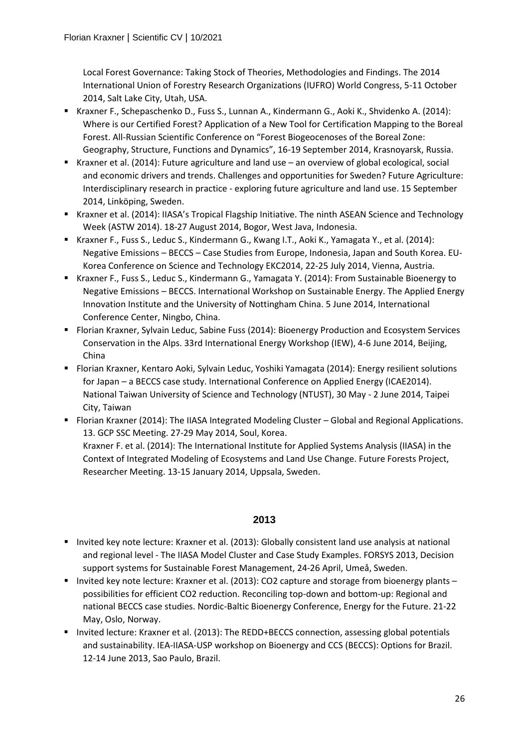Local Forest Governance: Taking Stock of Theories, Methodologies and Findings. The 2014 International Union of Forestry Research Organizations (IUFRO) World Congress, 5-11 October 2014, Salt Lake City, Utah, USA.

- Kraxner F., Schepaschenko D., Fuss S., Lunnan A., Kindermann G., Aoki K., Shvidenko A. (2014): Where is our Certified Forest? Application of a New Tool for Certification Mapping to the Boreal Forest. All-Russian Scientific Conference on "Forest Biogeocenoses of the Boreal Zone: Geography, Structure, Functions and Dynamics", 16-19 September 2014, Krasnoyarsk, Russia.
- Kraxner et al. (2014): Future agriculture and land use an overview of global ecological, social and economic drivers and trends. Challenges and opportunities for Sweden? Future Agriculture: Interdisciplinary research in practice - exploring future agriculture and land use. 15 September 2014, Linköping, Sweden.
- Kraxner et al. (2014): IIASA's Tropical Flagship Initiative. The ninth ASEAN Science and Technology Week (ASTW 2014). 18-27 August 2014, Bogor, West Java, Indonesia.
- Kraxner F., Fuss S., Leduc S., Kindermann G., Kwang I.T., Aoki K., Yamagata Y., et al. (2014): Negative Emissions – BECCS – Case Studies from Europe, Indonesia, Japan and South Korea. EU-Korea Conference on Science and Technology EKC2014, 22-25 July 2014, Vienna, Austria.
- Kraxner F., Fuss S., Leduc S., Kindermann G., Yamagata Y. (2014): From Sustainable Bioenergy to Negative Emissions – BECCS. International Workshop on Sustainable Energy. The Applied Energy Innovation Institute and the University of Nottingham China. 5 June 2014, International Conference Center, Ningbo, China.
- Florian Kraxner, Sylvain Leduc, Sabine Fuss (2014): Bioenergy Production and Ecosystem Services Conservation in the Alps. 33rd International Energy Workshop (IEW), 4-6 June 2014, Beijing, China
- Florian Kraxner, Kentaro Aoki, Sylvain Leduc, Yoshiki Yamagata (2014): Energy resilient solutions for Japan – a BECCS case study. International Conference on Applied Energy (ICAE2014). National Taiwan University of Science and Technology (NTUST), 30 May - 2 June 2014, Taipei City, Taiwan
- Florian Kraxner (2014): The IIASA Integrated Modeling Cluster Global and Regional Applications. 13. GCP SSC Meeting. 27-29 May 2014, Soul, Korea. Kraxner F. et al. (2014): The International Institute for Applied Systems Analysis (IIASA) in the Context of Integrated Modeling of Ecosystems and Land Use Change. Future Forests Project, Researcher Meeting. 13-15 January 2014, Uppsala, Sweden.

- Invited key note lecture: Kraxner et al. (2013): Globally consistent land use analysis at national and regional level - The IIASA Model Cluster and Case Study Examples. FORSYS 2013, Decision support systems for Sustainable Forest Management, 24-26 April, Umeå, Sweden.
- Invited key note lecture: Kraxner et al. (2013): CO2 capture and storage from bioenergy plants possibilities for efficient CO2 reduction. Reconciling top-down and bottom-up: Regional and national BECCS case studies. Nordic-Baltic Bioenergy Conference, Energy for the Future. 21-22 May, Oslo, Norway.
- Invited lecture: Kraxner et al. (2013): The REDD+BECCS connection, assessing global potentials and sustainability. IEA-IIASA-USP workshop on Bioenergy and CCS (BECCS): Options for Brazil. 12-14 June 2013, Sao Paulo, Brazil.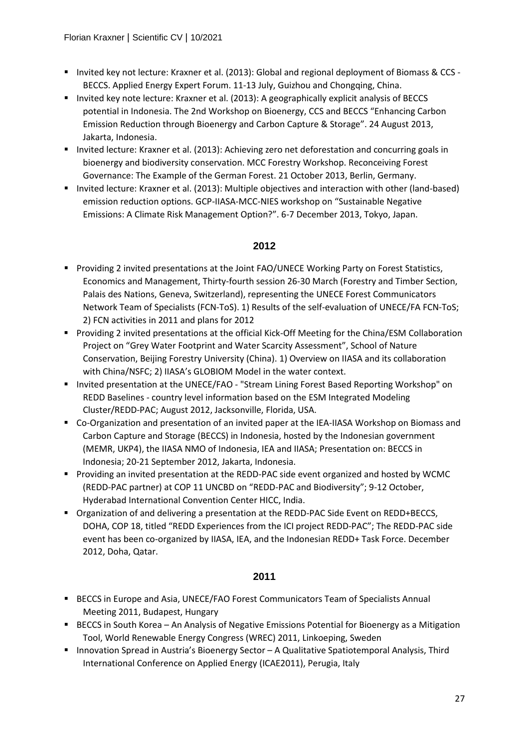- Invited key not lecture: Kraxner et al. (2013): Global and regional deployment of Biomass & CCS -BECCS. Applied Energy Expert Forum. 11-13 July, Guizhou and Chongqing, China.
- **Invited key note lecture: Kraxner et al. (2013): A geographically explicit analysis of BECCS** potential in Indonesia. The 2nd Workshop on Bioenergy, CCS and BECCS "Enhancing Carbon Emission Reduction through Bioenergy and Carbon Capture & Storage". 24 August 2013, Jakarta, Indonesia.
- **Invited lecture: Kraxner et al. (2013): Achieving zero net deforestation and concurring goals in** bioenergy and biodiversity conservation. MCC Forestry Workshop. Reconceiving Forest Governance: The Example of the German Forest. 21 October 2013, Berlin, Germany.
- Invited lecture: Kraxner et al. (2013): Multiple objectives and interaction with other (land-based) emission reduction options. GCP-IIASA-MCC-NIES workshop on "Sustainable Negative Emissions: A Climate Risk Management Option?". 6-7 December 2013, Tokyo, Japan.

- **Providing 2 invited presentations at the Joint FAO/UNECE Working Party on Forest Statistics,** Economics and Management, Thirty-fourth session 26-30 March (Forestry and Timber Section, Palais des Nations, Geneva, Switzerland), representing the UNECE Forest Communicators Network Team of Specialists (FCN-ToS). 1) Results of the self-evaluation of UNECE/FA FCN-ToS; 2) FCN activities in 2011 and plans for 2012
- **Providing 2 invited presentations at the official Kick-Off Meeting for the China/ESM Collaboration** Project on "Grey Water Footprint and Water Scarcity Assessment", School of Nature Conservation, Beijing Forestry University (China). 1) Overview on IIASA and its collaboration with China/NSFC; 2) IIASA's GLOBIOM Model in the water context.
- Invited presentation at the UNECE/FAO "Stream Lining Forest Based Reporting Workshop" on REDD Baselines - country level information based on the ESM Integrated Modeling Cluster/REDD-PAC; August 2012, Jacksonville, Florida, USA.
- Co-Organization and presentation of an invited paper at the IEA-IIASA Workshop on Biomass and Carbon Capture and Storage (BECCS) in Indonesia, hosted by the Indonesian government (MEMR, UKP4), the IIASA NMO of Indonesia, IEA and IIASA; Presentation on: BECCS in Indonesia; 20-21 September 2012, Jakarta, Indonesia.
- **Providing an invited presentation at the REDD-PAC side event organized and hosted by WCMC** (REDD-PAC partner) at COP 11 UNCBD on "REDD-PAC and Biodiversity"; 9-12 October, Hyderabad International Convention Center HICC, India.
- Organization of and delivering a presentation at the REDD-PAC Side Event on REDD+BECCS, DOHA, COP 18, titled "REDD Experiences from the ICI project REDD-PAC"; The REDD-PAC side event has been co-organized by IIASA, IEA, and the Indonesian REDD+ Task Force. December 2012, Doha, Qatar.

- **BECCS in Europe and Asia, UNECE/FAO Forest Communicators Team of Specialists Annual** Meeting 2011, Budapest, Hungary
- **BECCS in South Korea An Analysis of Negative Emissions Potential for Bioenergy as a Mitigation** Tool, World Renewable Energy Congress (WREC) 2011, Linkoeping, Sweden
- Innovation Spread in Austria's Bioenergy Sector A Qualitative Spatiotemporal Analysis, Third International Conference on Applied Energy (ICAE2011), Perugia, Italy